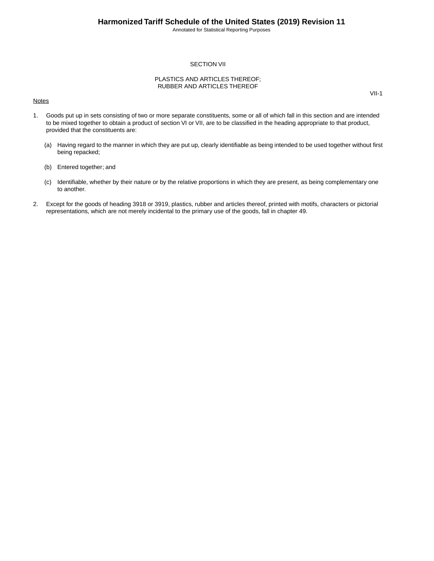Annotated for Statistical Reporting Purposes

VII-1

#### SECTION VII

#### PLASTICS AND ARTICLES THEREOF; RUBBER AND ARTICLES THEREOF

#### **Notes**

1. Goods put up in sets consisting of two or more separate constituents, some or all of which fall in this section and are intended to be mixed together to obtain a product of section VI or VII, are to be classified in the heading appropriate to that product, provided that the constituents are:

- (a) Having regard to the manner in which they are put up, clearly identifiable as being intended to be used together without first being repacked;
- (b) Entered together; and
- (c) Identifiable, whether by their nature or by the relative proportions in which they are present, as being complementary one to another.
- 2. Except for the goods of heading 3918 or 3919, plastics, rubber and articles thereof, printed with motifs, characters or pictorial representations, which are not merely incidental to the primary use of the goods, fall in chapter 49.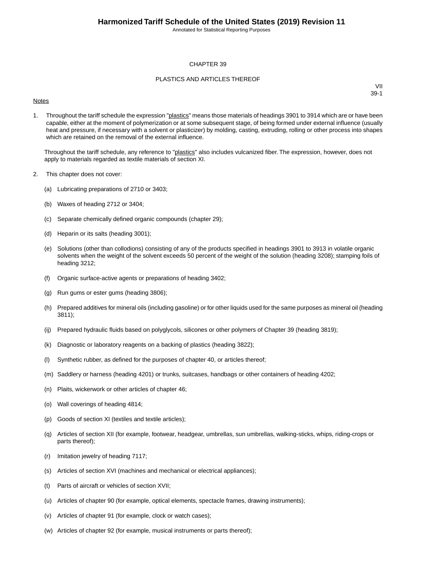Annotated for Statistical Reporting Purposes

#### CHAPTER 39

#### PLASTICS AND ARTICLES THEREOF

#### **Notes**

VII 39-1

1. Throughout the tariff schedule the expression "plastics" means those materials of headings 3901 to 3914 which are or have been capable, either at the moment of polymerization or at some subsequent stage, of being formed under external influence (usually heat and pressure, if necessary with a solvent or plasticizer) by molding, casting, extruding, rolling or other process into shapes which are retained on the removal of the external influence.

Throughout the tariff schedule, any reference to "plastics" also includes vulcanized fiber. The expression, however, does not apply to materials regarded as textile materials of section XI.

- 2. This chapter does not cover:
	- (a) Lubricating preparations of 2710 or 3403;
	- (b) Waxes of heading 2712 or 3404;
	- (c) Separate chemically defined organic compounds (chapter 29);
	- (d) Heparin or its salts (heading 3001);
	- (e) Solutions (other than collodions) consisting of any of the products specified in headings 3901 to 3913 in volatile organic solvents when the weight of the solvent exceeds 50 percent of the weight of the solution (heading 3208); stamping foils of heading 3212;
	- (f) Organic surface-active agents or preparations of heading 3402;
	- (g) Run gums or ester gums (heading 3806);
	- (h) Prepared additives for mineral oils (including gasoline) or for other liquids used for the same purposes as mineral oil (heading 3811);
	- (ij) Prepared hydraulic fluids based on polyglycols, silicones or other polymers of Chapter 39 (heading 3819);
	- (k) Diagnostic or laboratory reagents on a backing of plastics (heading 3822);
	- (l) Synthetic rubber, as defined for the purposes of chapter 40, or articles thereof;
	- (m) Saddlery or harness (heading 4201) or trunks, suitcases, handbags or other containers of heading 4202;
	- (n) Plaits, wickerwork or other articles of chapter 46;
	- (o) Wall coverings of heading 4814;
	- (p) Goods of section XI (textiles and textile articles);
	- (q) Articles of section XII (for example, footwear, headgear, umbrellas, sun umbrellas, walking-sticks, whips, riding-crops or parts thereof);
	- (r) Imitation jewelry of heading 7117;
	- (s) Articles of section XVI (machines and mechanical or electrical appliances);
	- (t) Parts of aircraft or vehicles of section XVII;
	- (u) Articles of chapter 90 (for example, optical elements, spectacle frames, drawing instruments);
	- (v) Articles of chapter 91 (for example, clock or watch cases);
	- (w) Articles of chapter 92 (for example, musical instruments or parts thereof);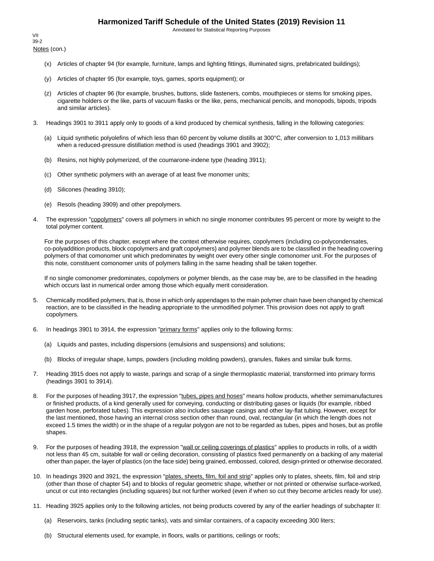Annotated for Statistical Reporting Purposes

Notes (con.) VII 39-2

- (x) Articles of chapter 94 (for example, furniture, lamps and lighting fittings, illuminated signs, prefabricated buildings);
- (y) Articles of chapter 95 (for example, toys, games, sports equipment); or
- (z) Articles of chapter 96 (for example, brushes, buttons, slide fasteners, combs, mouthpieces or stems for smoking pipes, cigarette holders or the like, parts of vacuum flasks or the like, pens, mechanical pencils, and monopods, bipods, tripods and similar articles).
- 3. Headings 3901 to 3911 apply only to goods of a kind produced by chemical synthesis, falling in the following categories:
	- (a) Liquid synthetic polyolefins of which less than 60 percent by volume distills at 300°C, after conversion to 1,013 millibars when a reduced-pressure distillation method is used (headings 3901 and 3902);
	- (b) Resins, not highly polymerized, of the coumarone-indene type (heading 3911);
	- (c) Other synthetic polymers with an average of at least five monomer units;
	- (d) Silicones (heading 3910);
	- (e) Resols (heading 3909) and other prepolymers.
- 4. The expression "copolymers" covers all polymers in which no single monomer contributes 95 percent or more by weight to the total polymer content.

For the purposes of this chapter, except where the context otherwise requires, copolymers (including co-polycondensates, co-polyaddition products, block copolymers and graft copolymers) and polymer blends are to be classified in the heading covering polymers of that comonomer unit which predominates by weight over every other single comonomer unit. For the purposes of this note, constituent comonomer units of polymers falling in the same heading shall be taken together.

If no single comonomer predominates, copolymers or polymer blends, as the case may be, are to be classified in the heading which occurs last in numerical order among those which equally merit consideration.

- 5. Chemically modified polymers, that is, those in which only appendages to the main polymer chain have been changed by chemical reaction, are to be classified in the heading appropriate to the unmodified polymer. This provision does not apply to graft copolymers.
- 6. In headings 3901 to 3914, the expression "primary forms" applies only to the following forms:
	- (a) Liquids and pastes, including dispersions (emulsions and suspensions) and solutions;
	- (b) Blocks of irregular shape, lumps, powders (including molding powders), granules, flakes and similar bulk forms.
- 7. Heading 3915 does not apply to waste, parings and scrap of a single thermoplastic material, transformed into primary forms (headings 3901 to 3914).
- 8. For the purposes of heading 3917, the expression "tubes, pipes and hoses" means hollow products, whether semimanufactures or finished products, of a kind generally used for conveying, conducting or distributing gases or liquids (for example, ribbed garden hose, perforated tubes). This expression also includes sausage casings and other lay-flat tubing. However, except for the last mentioned, those having an internal cross section other than round, oval, rectangular (in which the length does not exceed 1.5 times the width) or in the shape of a regular polygon are not to be regarded as tubes, pipes and hoses, but as profile shapes.
- 9. For the purposes of heading 3918, the expression "wall or ceiling coverings of plastics" applies to products in rolls, of a width not less than 45 cm, suitable for wall or ceiling decoration, consisting of plastics fixed permanently on a backing of any material other than paper, the layer of plastics (on the face side) being grained, embossed, colored, design-printed or otherwise decorated.
- 10. In headings 3920 and 3921, the expression "plates, sheets, film, foil and strip" applies only to plates, sheets, film, foil and strip (other than those of chapter 54) and to blocks of regular geometric shape, whether or not printed or otherwise surface-worked, uncut or cut into rectangles (including squares) but not further worked (even if when so cut they become articles ready for use).
- 11. Heading 3925 applies only to the following articles, not being products covered by any of the earlier headings of subchapter II:
	- (a) Reservoirs, tanks (including septic tanks), vats and similar containers, of a capacity exceeding 300 liters;
	- (b) Structural elements used, for example, in floors, walls or partitions, ceilings or roofs;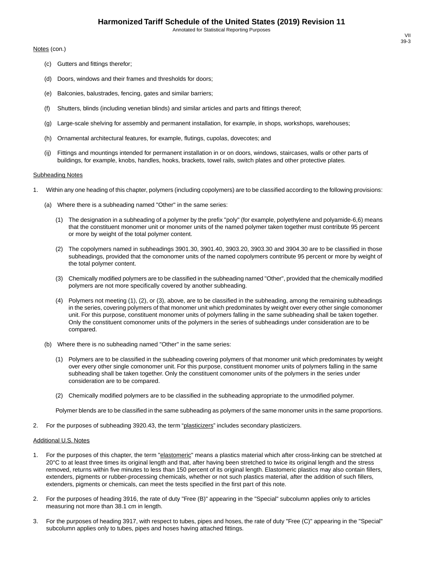Annotated for Statistical Reporting Purposes

Notes (con.)

- (c) Gutters and fittings therefor;
- (d) Doors, windows and their frames and thresholds for doors;
- (e) Balconies, balustrades, fencing, gates and similar barriers;
- (f) Shutters, blinds (including venetian blinds) and similar articles and parts and fittings thereof;
- (g) Large-scale shelving for assembly and permanent installation, for example, in shops, workshops, warehouses;
- (h) Ornamental architectural features, for example, flutings, cupolas, dovecotes; and
- (ij) Fittings and mountings intended for permanent installation in or on doors, windows, staircases, walls or other parts of buildings, for example, knobs, handles, hooks, brackets, towel rails, switch plates and other protective plates.

#### **Subheading Notes**

- 1. Within any one heading of this chapter, polymers (including copolymers) are to be classified according to the following provisions:
	- (a) Where there is a subheading named "Other" in the same series:
		- (1) The designation in a subheading of a polymer by the prefix "poly" (for example, polyethylene and polyamide-6,6) means that the constituent monomer unit or monomer units of the named polymer taken together must contribute 95 percent or more by weight of the total polymer content.
		- (2) The copolymers named in subheadings 3901.30, 3901.40, 3903.20, 3903.30 and 3904.30 are to be classified in those subheadings, provided that the comonomer units of the named copolymers contribute 95 percent or more by weight of the total polymer content.
		- (3) Chemically modified polymers are to be classified in the subheading named "Other", provided that the chemically modified polymers are not more specifically covered by another subheading.
		- (4) Polymers not meeting (1), (2), or (3), above, are to be classified in the subheading, among the remaining subheadings in the series, covering polymers of that monomer unit which predominates by weight over every other single comonomer unit. For this purpose, constituent monomer units of polymers falling in the same subheading shall be taken together. Only the constituent comonomer units of the polymers in the series of subheadings under consideration are to be compared.
	- (b) Where there is no subheading named "Other" in the same series:
		- (1) Polymers are to be classified in the subheading covering polymers of that monomer unit which predominates by weight over every other single comonomer unit. For this purpose, constituent monomer units of polymers falling in the same subheading shall be taken together. Only the constituent comonomer units of the polymers in the series under consideration are to be compared.
		- (2) Chemically modified polymers are to be classified in the subheading appropriate to the unmodified polymer.

Polymer blends are to be classified in the same subheading as polymers of the same monomer units in the same proportions.

2. For the purposes of subheading 3920.43, the term "plasticizers" includes secondary plasticizers.

#### Additional U.S. Notes

- 1. For the purposes of this chapter, the term "elastomeric" means a plastics material which after cross-linking can be stretched at 20°C to at least three times its original length and that, after having been stretched to twice its original length and the stress removed, returns within five minutes to less than 150 percent of its original length. Elastomeric plastics may also contain fillers, extenders, pigments or rubber-processing chemicals, whether or not such plastics material, after the addition of such fillers, extenders, pigments or chemicals, can meet the tests specified in the first part of this note.
- 2. For the purposes of heading 3916, the rate of duty "Free (B)" appearing in the "Special" subcolumn applies only to articles measuring not more than 38.1 cm in length.
- 3. For the purposes of heading 3917, with respect to tubes, pipes and hoses, the rate of duty "Free (C)" appearing in the "Special" subcolumn applies only to tubes, pipes and hoses having attached fittings.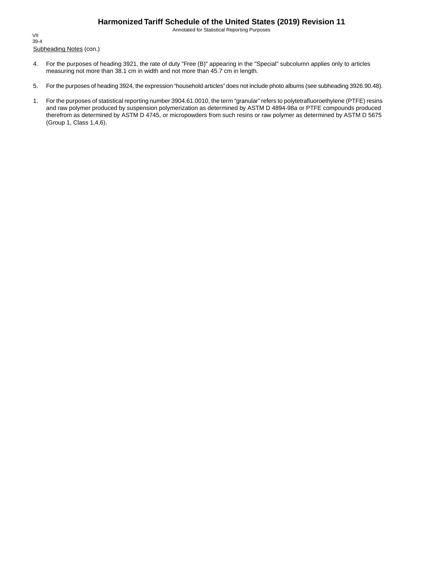Annotated for Statistical Reporting Purposes

Subheading Notes (con.) VII 39-4

- 4. For the purposes of heading 3921, the rate of duty "Free (B)" appearing in the "Special" subcolumn applies only to articles measuring not more than 38.1 cm in width and not more than 45.7 cm in length.
- 5. For the purposes of heading 3924, the expression "household articles" does not include photo albums (see subheading 3926.90.48).
- 1. For the purposes of statistical reporting number 3904.61.0010, the term "granular" refers to polytetrafluoroethylene (PTFE) resins and raw polymer produced by suspension polymerization as determined by ASTM D 4894-98a or PTFE compounds produced therefrom as determined by ASTM D 4745, or micropowders from such resins or raw polymer as determined by ASTM D 5675 (Group 1, Class 1,4,6).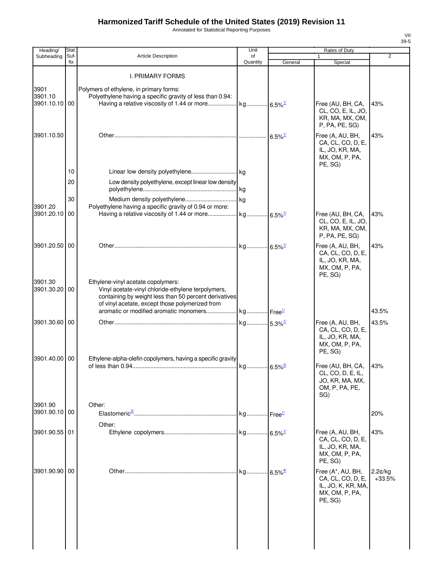Annotated for Statistical Reporting Purposes

| Heading/                 | Stat.       |                                                                                                                                                                                                                                                | Unit                  |                       | Rates of Duty                                                                             |                     |
|--------------------------|-------------|------------------------------------------------------------------------------------------------------------------------------------------------------------------------------------------------------------------------------------------------|-----------------------|-----------------------|-------------------------------------------------------------------------------------------|---------------------|
| Subheading               | Suf-<br>fix | <b>Article Description</b>                                                                                                                                                                                                                     | of<br>Quantity        | General               | 1<br>Special                                                                              | $\overline{2}$      |
| 3901<br>3901.10          |             | I. PRIMARY FORMS<br>Polymers of ethylene, in primary forms:<br>Polyethylene having a specific gravity of less than 0.94:                                                                                                                       |                       |                       |                                                                                           |                     |
| 3901.10.10 00            |             |                                                                                                                                                                                                                                                |                       |                       | Free (AU, BH, CA,<br>CL, CO, E, IL, JO,<br>KR, MA, MX, OM,<br>P, PA, PE, SG)              | 43%                 |
| 3901.10.50               |             |                                                                                                                                                                                                                                                |                       | $6.5\%$ <sup>1/</sup> | Free (A, AU, BH,<br>CA, CL, CO, D, E,<br>IL, JO, KR, MA,<br>MX, OM, P, PA,<br>PE, SG)     | 43%                 |
|                          | 10          |                                                                                                                                                                                                                                                |                       |                       |                                                                                           |                     |
|                          | 20          | Low density polyethylene, except linear low density                                                                                                                                                                                            |                       |                       |                                                                                           |                     |
| 3901.20                  | 30          | Polyethylene having a specific gravity of 0.94 or more:                                                                                                                                                                                        |                       |                       |                                                                                           |                     |
| 3901.20.10               | 00          | Having a relative viscosity of 1.44 or more                                                                                                                                                                                                    | kg 6.5% <sup>1/</sup> |                       | Free (AU, BH, CA,<br>CL, CO, E, IL, JO,<br>KR, MA, MX, OM,<br>P, PA, PE, SG)              | 43%                 |
| 3901.20.50 00            |             |                                                                                                                                                                                                                                                | kg 6.5% <sup>1/</sup> |                       | Free (A, AU, BH,<br>CA, CL, CO, D, E,<br>IL, JO, KR, MA,<br>MX, OM, P, PA,<br>PE, SG)     | 43%                 |
| 3901.30<br>3901.30.20 00 |             | Ethylene-vinyl acetate copolymers:<br>Vinyl acetate-vinyl chloride-ethylene terpolymers,<br>containing by weight less than 50 percent derivatives<br>of vinyl acetate, except those polymerized from<br>aromatic or modified aromatic monomers | kg Free <sup>1/</sup> |                       |                                                                                           | 43.5%               |
| 3901.30.60 00            |             |                                                                                                                                                                                                                                                |                       |                       |                                                                                           | 43.5%               |
| 3901.40.00 00            |             | Ethylene-alpha-olefin copolymers, having a specific gravity                                                                                                                                                                                    | kg 5.3% <sup>1/</sup> |                       | Free (A, AU, BH,<br>CA, CL, CO, D, E,<br>IL, JO, KR, MA,<br>MX, OM, P, PA,<br>PE, SG)     |                     |
|                          |             |                                                                                                                                                                                                                                                |                       |                       | Free (AU, BH, CA,<br>CL, CO, D, E, IL,<br>JO, KR, MA, MX,<br>OM, P, PA, PE,<br>SG)        | 43%                 |
| 3901.90<br>3901.90.10 00 |             | Other:                                                                                                                                                                                                                                         | kg Free <sup>1/</sup> |                       |                                                                                           | 20%                 |
| 3901.90.55 01            |             | Other:                                                                                                                                                                                                                                         |                       |                       | Free (A, AU, BH,<br>CA, CL, CO, D, E,<br>IL, JO, KR, MA,<br>MX, OM, P, PA,<br>PE, SG)     | 43%                 |
| 3901.90.90 00            |             |                                                                                                                                                                                                                                                | kg 6.5% <sup>4/</sup> |                       | Free (A*, AU, BH,<br>CA, CL, CO, D, E,<br>IL, JO, K, KR, MA,<br>MX, OM, P, PA,<br>PE, SG) | 2.2¢/kg<br>$+33.5%$ |
|                          |             |                                                                                                                                                                                                                                                |                       |                       |                                                                                           |                     |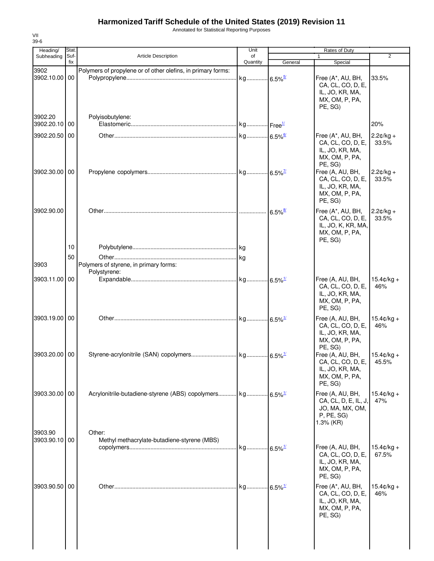Annotated for Statistical Reporting Purposes

| Heading/                 | Stat.       |                                                                        | Unit                  | Rates of Duty         |                                                                                           |                               |
|--------------------------|-------------|------------------------------------------------------------------------|-----------------------|-----------------------|-------------------------------------------------------------------------------------------|-------------------------------|
| Subheading               | Suf-<br>fix | <b>Article Description</b>                                             | of<br>Quantity        | General               | $\mathbf{1}$<br>Special                                                                   | $\overline{2}$                |
| 3902<br>3902.10.00 00    |             | Polymers of propylene or of other olefins, in primary forms:           |                       |                       | Free (A*, AU, BH,<br>CA, CL, CO, D, E,<br>IL, JO, KR, MA,<br>MX, OM, P, PA,<br>PE, SG)    | 33.5%                         |
| 3902.20<br>3902.20.10 00 |             | Polyisobutylene:                                                       |                       |                       |                                                                                           | 20%                           |
| 3902.20.50 00            |             |                                                                        |                       |                       | Free (A*, AU, BH,<br>CA, CL, CO, D, E,<br>IL, JO, KR, MA,<br>MX, OM, P, PA,<br>PE, SG)    | $2.2¢/kg +$<br>33.5%          |
| 3902.30.00 00            |             |                                                                        |                       |                       | Free (A, AU, BH,<br>CA, CL, CO, D, E,<br>IL, JO, KR, MA,<br>MX, OM, P, PA,<br>PE, SG)     | $2.2¢/kg +$<br>33.5%          |
| 3902.90.00               |             |                                                                        |                       | $6.5\%$ <sup>8/</sup> | Free (A*, AU, BH,<br>CA, CL, CO, D, E,<br>IL, JO, K, KR, MA,<br>MX, OM, P, PA,<br>PE, SG) | $2.2¢/kg +$<br>33.5%          |
| 3903                     | 10<br>50    | Polymers of styrene, in primary forms:<br>Polystyrene:                 |                       |                       |                                                                                           |                               |
| 3903.11.00 00            |             |                                                                        |                       |                       | Free (A, AU, BH,<br>CA, CL, CO, D, E,<br>IL, JO, KR, MA,<br>MX, OM, P, PA,<br>PE, SG)     | $15.4 \text{c/kg} +$<br>46%   |
| 3903.19.00 00            |             |                                                                        |                       |                       | Free (A, AU, BH,<br>CA, CL, CO, D, E,<br>IL, JO, KR, MA,<br>MX, OM, P, PA,<br>PE, SG)     | $15.4 \text{C/kg} +$<br>46%   |
| 3903.20.00 00            |             |                                                                        |                       |                       | Free (A, AU, BH,<br>CA, CL, CO, D, E,<br>IL, JO, KR, MA,<br>MX, OM, P, PA,<br>PE, SG)     | $15.4 \text{C/kg} +$<br>45.5% |
| 3903.30.00 00            |             | Acrylonitrile-butadiene-styrene (ABS) copolymers kg 6.5% <sup>1/</sup> |                       |                       | Free (A, AU, BH,<br>CA, CL, D, E, IL, J,<br>JO, MA, MX, OM,<br>P, PE, SG<br>$1.3%$ (KR)   | $15.4 \text{C/kg} +$<br>47%   |
| 3903.90<br>3903.90.10 00 |             | Other:<br>Methyl methacrylate-butadiene-styrene (MBS)                  |                       |                       | Free (A, AU, BH,<br>CA, CL, CO, D, E,<br>IL, JO, KR, MA,<br>MX, OM, P, PA,<br>PE, SG)     | $15.4 \text{C/kg} +$<br>67.5% |
| 3903.90.50 00            |             |                                                                        | kg 6.5% <sup>1/</sup> |                       | Free (A*, AU, BH,<br>CA, CL, CO, D, E,<br>IL, JO, KR, MA,<br>MX, OM, P, PA,<br>PE, SG)    | $15.4 \text{C/kg} +$<br>46%   |
|                          |             |                                                                        |                       |                       |                                                                                           |                               |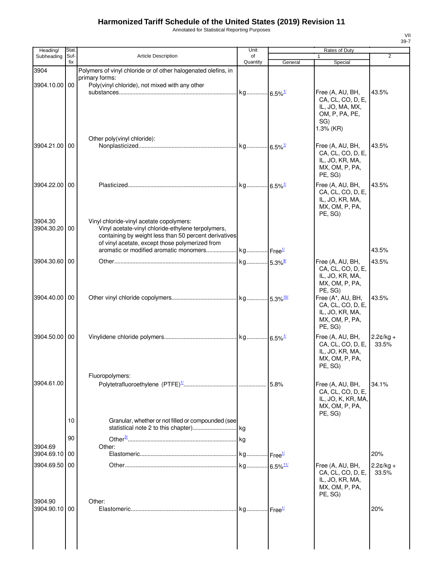Annotated for Statistical Reporting Purposes

| Heading/                 | Stat.       |                                                                                                             | Unit           |         | Rates of Duty                         |                |
|--------------------------|-------------|-------------------------------------------------------------------------------------------------------------|----------------|---------|---------------------------------------|----------------|
| Subheading               | Suf-<br>fix | <b>Article Description</b>                                                                                  | οf<br>Quantity | General | $\mathbf{1}$<br>Special               | $\overline{2}$ |
| 3904                     |             | Polymers of vinyl chloride or of other halogenated olefins, in                                              |                |         |                                       |                |
|                          |             | primary forms:                                                                                              |                |         |                                       |                |
| 3904.10.00 00            |             | Poly(vinyl chloride), not mixed with any other                                                              |                |         | Free (A, AU, BH,                      | 43.5%          |
|                          |             |                                                                                                             |                |         | CA, CL, CO, D, E,                     |                |
|                          |             |                                                                                                             |                |         | IL, JO, MA, MX,<br>OM, P, PA, PE,     |                |
|                          |             |                                                                                                             |                |         | SG)                                   |                |
|                          |             |                                                                                                             |                |         | 1.3% (KR)                             |                |
| 3904.21.00 00            |             | Other poly(vinyl chloride):                                                                                 |                |         |                                       |                |
|                          |             |                                                                                                             |                |         | Free (A, AU, BH,<br>CA, CL, CO, D, E, | 43.5%          |
|                          |             |                                                                                                             |                |         | IL, JO, KR, MA,                       |                |
|                          |             |                                                                                                             |                |         | MX, OM, P, PA,<br>PE, SG)             |                |
| 3904.22.00               | 00          |                                                                                                             |                |         | Free (A, AU, BH,                      | 43.5%          |
|                          |             |                                                                                                             |                |         | CA, CL, CO, D, E,                     |                |
|                          |             |                                                                                                             |                |         | IL, JO, KR, MA,<br>MX, OM, P, PA,     |                |
|                          |             |                                                                                                             |                |         | PE, SG)                               |                |
| 3904.30                  |             | Vinyl chloride-vinyl acetate copolymers:                                                                    |                |         |                                       |                |
| 3904.30.20 00            |             | Vinyl acetate-vinyl chloride-ethylene terpolymers,<br>containing by weight less than 50 percent derivatives |                |         |                                       |                |
|                          |             | of vinyl acetate, except those polymerized from                                                             |                |         |                                       |                |
|                          |             |                                                                                                             |                |         |                                       | 43.5%          |
| 3904.30.60 00            |             |                                                                                                             |                |         | Free (A, AU, BH,<br>CA, CL, CO, D, E, | 43.5%          |
|                          |             |                                                                                                             |                |         | IL, JO, KR, MA,                       |                |
|                          |             |                                                                                                             |                |         | MX, OM, P, PA,                        |                |
| 3904.40.00 00            |             |                                                                                                             |                |         | PE, SG)<br>Free (A*, AU, BH,          | 43.5%          |
|                          |             |                                                                                                             |                |         | CA, CL, CO, D, E,                     |                |
|                          |             |                                                                                                             |                |         | IL, JO, KR, MA,<br>MX, OM, P, PA,     |                |
|                          |             |                                                                                                             |                |         | PE, SG)                               |                |
| 3904.50.00 00            |             |                                                                                                             |                |         | Free (A, AU, BH,                      | $2.2¢/kg +$    |
|                          |             |                                                                                                             |                |         | CA, CL, CO, D, E,<br>IL, JO, KR, MA,  | 33.5%          |
|                          |             |                                                                                                             |                |         | MX, OM, P, PA,                        |                |
|                          |             |                                                                                                             |                |         | PE, SG)                               |                |
| 3904.61.00               |             | Fluoropolymers:                                                                                             |                |         |                                       |                |
|                          |             |                                                                                                             |                |         | Free (A, AU, BH,<br>CA, CL, CO, D, E, | 34.1%          |
|                          |             |                                                                                                             |                |         | IL, JO, K, KR, MA,                    |                |
|                          |             |                                                                                                             |                |         | MX, OM, P, PA,<br>PE, SG)             |                |
|                          | 10          | Granular, whether or not filled or compounded (see                                                          |                |         |                                       |                |
|                          |             |                                                                                                             |                |         |                                       |                |
|                          | 90          |                                                                                                             |                |         |                                       |                |
| 3904.69<br>3904.69.10 00 |             | Other:                                                                                                      |                |         |                                       | 20%            |
| 3904.69.50               | 00          |                                                                                                             |                |         | Free (A, AU, BH,                      | $2.2¢/kg +$    |
|                          |             |                                                                                                             |                |         | CA, CL, CO, D, E,                     | 33.5%          |
|                          |             |                                                                                                             |                |         | IL, JO, KR, MA,<br>MX, OM, P, PA,     |                |
|                          |             |                                                                                                             |                |         | PE, SG)                               |                |
| 3904.90<br>3904.90.10 00 |             | Other:                                                                                                      |                |         |                                       | 20%            |
|                          |             |                                                                                                             |                |         |                                       |                |
|                          |             |                                                                                                             |                |         |                                       |                |
|                          |             |                                                                                                             |                |         |                                       |                |
|                          |             |                                                                                                             |                |         |                                       |                |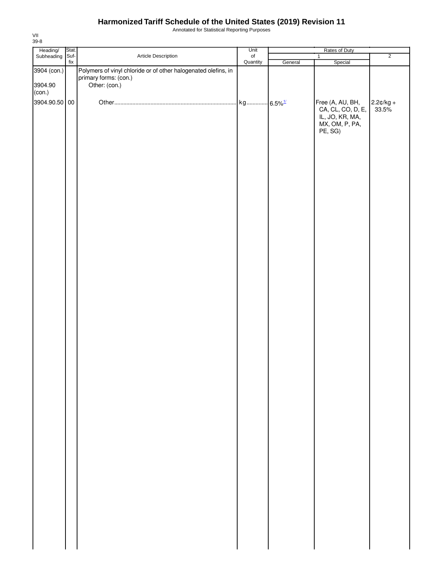Annotated for Statistical Reporting Purposes

| Heading/<br>Stat.<br>Suf- |           |                                                                                                          | Unit      |         | Rates of Duty                                                                         |                      |
|---------------------------|-----------|----------------------------------------------------------------------------------------------------------|-----------|---------|---------------------------------------------------------------------------------------|----------------------|
| Subheading                | $\sf fix$ | Article Description                                                                                      | $\circ$ f |         | $\overline{1}$                                                                        | $\overline{2}$       |
| 3904 (con.)<br>3904.90    |           | Polymers of vinyl chloride or of other halogenated olefins, in<br>primary forms: (con.)<br>Other: (con.) | Quantity  | General | Special                                                                               |                      |
| (con.)<br>3904.90.50 00   |           |                                                                                                          |           |         | Free (A, AU, BH,<br>CA, CL, CO, D, E,<br>IL, JO, KR, MA,<br>MX, OM, P, PA,<br>PE, SG) | $2.2¢/kg +$<br>33.5% |
|                           |           |                                                                                                          |           |         |                                                                                       |                      |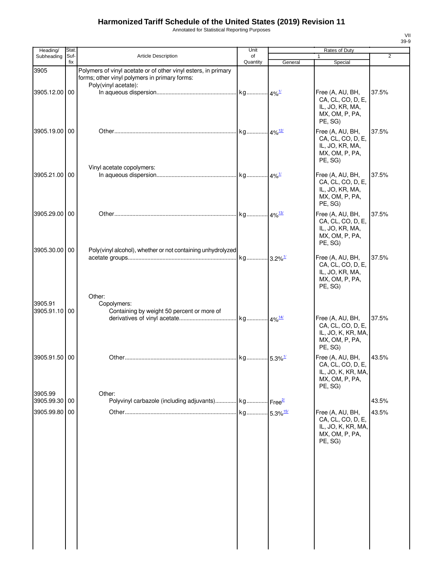Annotated for Statistical Reporting Purposes

| Heading/                 | Stat.       |                                                                                                                                         | Unit                   |         | Rates of Duty                                                                            |                |
|--------------------------|-------------|-----------------------------------------------------------------------------------------------------------------------------------------|------------------------|---------|------------------------------------------------------------------------------------------|----------------|
| Subheading               | Suf-<br>fix | <b>Article Description</b>                                                                                                              | of<br>Quantity         | General | 1<br>Special                                                                             | $\overline{2}$ |
| 3905                     |             | Polymers of vinyl acetate or of other vinyl esters, in primary<br>forms; other vinyl polymers in primary forms:<br>Poly(vinyl acetate): |                        |         |                                                                                          |                |
| 3905.12.00 00            |             |                                                                                                                                         |                        |         | Free (A, AU, BH,<br>CA, CL, CO, D, E,<br>IL, JO, KR, MA,<br>MX, OM, P, PA,<br>PE, SG)    | 37.5%          |
| 3905.19.00 00            |             |                                                                                                                                         | kg 4% <sup>12/</sup>   |         | Free (A, AU, BH,<br>CA, CL, CO, D, E,<br>IL, JO, KR, MA,<br>MX, OM, P, PA,<br>PE, SG)    | 37.5%          |
| 3905.21.00 00            |             | Vinyl acetate copolymers:                                                                                                               |                        |         | Free (A, AU, BH,<br>CA, CL, CO, D, E,<br>IL, JO, KR, MA,<br>MX, OM, P, PA,<br>PE, SG)    | 37.5%          |
| 3905.29.00 00            |             |                                                                                                                                         |                        |         | Free (A, AU, BH,<br>CA, CL, CO, D, E,<br>IL, JO, KR, MA,<br>MX, OM, P, PA,<br>PE, SG)    | 37.5%          |
| 3905.30.00 00            |             | Poly(vinyl alcohol), whether or not containing unhydrolyzed<br>Other:                                                                   |                        |         | Free (A, AU, BH,<br>CA, CL, CO, D, E,<br>IL, JO, KR, MA,<br>MX, OM, P, PA,<br>PE, SG)    | 37.5%          |
| 3905.91<br>3905.91.10 00 |             | Copolymers:<br>Containing by weight 50 percent or more of                                                                               |                        |         | Free (A, AU, BH,<br>CA, CL, CO, D, E,<br>IL, JO, K, KR, MA,<br>MX, OM, P, PA,<br>PE, SG) | 37.5%          |
| 3905.91.50 00            |             |                                                                                                                                         |                        |         | Free (A, AU, BH,<br>CA, CL, CO, D, E,<br>IL, JO, K, KR, MA,<br>MX, OM, P, PA,<br>PE, SG) | 43.5%          |
| 3905.99<br>3905.99.30    | 00          | Other:<br>Polyvinyl carbazole (including adjuvants) kg Free <sup>2/</sup>                                                               |                        |         |                                                                                          | 43.5%          |
| 3905.99.80 00            |             |                                                                                                                                         | kg 5.3% <sup>15/</sup> |         | Free (A, AU, BH,<br>CA, CL, CO, D, E,<br>IL, JO, K, KR, MA,<br>MX, OM, P, PA,<br>PE, SG) | 43.5%          |
|                          |             |                                                                                                                                         |                        |         |                                                                                          |                |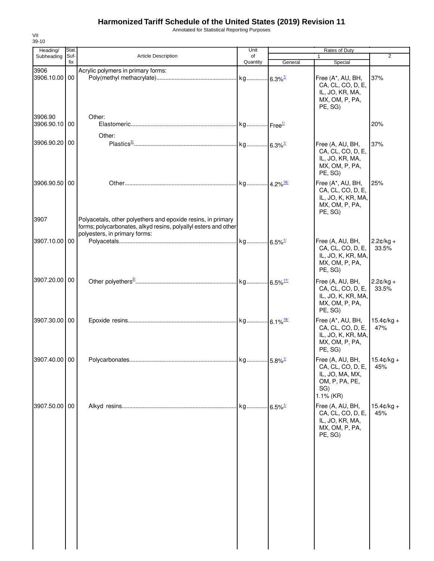Annotated for Statistical Reporting Purposes

| Stat. |                                                                                                  | Unit                                                                                                                                                                      |         | Rates of Duty                                                                            | $\overline{2}$                                                                                       |
|-------|--------------------------------------------------------------------------------------------------|---------------------------------------------------------------------------------------------------------------------------------------------------------------------------|---------|------------------------------------------------------------------------------------------|------------------------------------------------------------------------------------------------------|
| fix   |                                                                                                  | Quantity                                                                                                                                                                  | General | Special                                                                                  |                                                                                                      |
|       | Acrylic polymers in primary forms:                                                               |                                                                                                                                                                           |         | Free (A*, AU, BH,<br>CA, CL, CO, D, E,<br>IL, JO, KR, MA,<br>MX, OM, P, PA,<br>PE, SG)   | 37%                                                                                                  |
|       | Other:                                                                                           |                                                                                                                                                                           |         |                                                                                          | 20%                                                                                                  |
|       |                                                                                                  |                                                                                                                                                                           |         | Free (A, AU, BH,<br>CA, CL, CO, D, E,<br>IL, JO, KR, MA,<br>MX, OM, P, PA,<br>PE, SG)    | 37%                                                                                                  |
|       |                                                                                                  |                                                                                                                                                                           |         | Free (A*, AU, BH,<br>CA, CL, CO, D, E,<br>MX, OM, P, PA,<br>PE, SG)                      | 25%                                                                                                  |
|       | forms; polycarbonates, alkyd resins, polyallyl esters and other<br>polyesters, in primary forms: |                                                                                                                                                                           |         |                                                                                          |                                                                                                      |
|       |                                                                                                  |                                                                                                                                                                           |         | Free (A, AU, BH,<br>CA, CL, CO, D, E,<br>IL, JO, K, KR, MA,<br>MX, OM, P, PA,<br>PE, SG) | $2.2¢/kg +$<br>33.5%                                                                                 |
|       |                                                                                                  |                                                                                                                                                                           |         | Free (A, AU, BH,<br>CA, CL, CO, D, E,<br>MX, OM, P, PA,<br>PE, SG)                       | $2.2¢/kg +$<br>33.5%                                                                                 |
|       |                                                                                                  |                                                                                                                                                                           |         | Free (A*, AU, BH,<br>CA, CL, CO, D, E,<br>MX, OM, P, PA,<br>PE, SG)                      | $15.4 \text{C/kg} +$<br>47%                                                                          |
|       |                                                                                                  |                                                                                                                                                                           |         | CA, CL, CO, D, E,<br>IL, JO, MA, MX,<br>OM, P, PA, PE,<br>SG)<br>$1.1\%$ (KR)            | 45%                                                                                                  |
|       |                                                                                                  |                                                                                                                                                                           |         | Free (A, AU, BH,<br>CA, CL, CO, D, E,<br>IL, JO, KR, MA,<br>MX, OM, P, PA,<br>PE, SG)    | $15.4 \text{c/kg} +$<br>45%                                                                          |
|       | 3906.90.10 00<br>3906.90.20 00<br>3906.90.50 00<br>3907.20.00 00<br>3907.30.00 00                | Suf-<br>Article Description<br>3906.10.00 00<br>Other:<br>Polyacetals, other polyethers and epoxide resins, in primary<br>3907.10.00 00<br>3907.40.00 00<br>3907.50.00 00 | of      | $-6.5\%$ <sup>1/</sup>                                                                   | 1<br>IL, JO, K, KR, MA,<br>IL, JO, K, KR, MA,<br>IL, JO, K, KR, MA,<br>Free (A, AU, BH, $15.4¢/kg +$ |

VII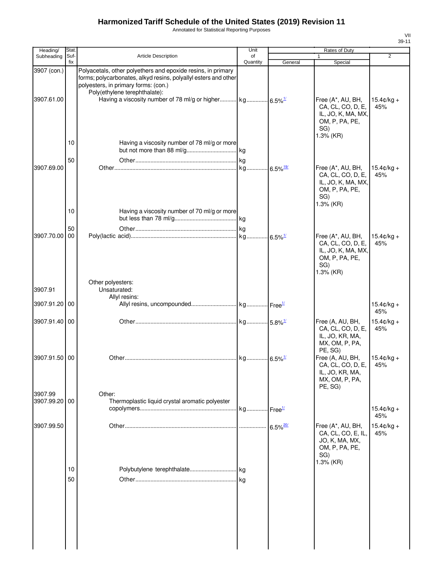Annotated for Statistical Reporting Purposes

| Heading/                  | Stat.       |                                                                                                                                                                                                          | Unit           |         | Rates of Duty                                                                                      |                             |
|---------------------------|-------------|----------------------------------------------------------------------------------------------------------------------------------------------------------------------------------------------------------|----------------|---------|----------------------------------------------------------------------------------------------------|-----------------------------|
| Subheading                | Suf-<br>fix | Article Description                                                                                                                                                                                      | of<br>Quantity | General | 1<br>Special                                                                                       | $\overline{2}$              |
| 3907 (con.)<br>3907.61.00 |             | Polyacetals, other polyethers and epoxide resins, in primary<br>forms; polycarbonates, alkyd resins, polyallyl esters and other<br>polyesters, in primary forms: (con.)<br>Poly(ethylene terephthalate): |                |         | Free (A*, AU, BH,<br>CA, CL, CO, D, E,<br>IL, JO, K, MA, MX,<br>OM, P, PA, PE,<br>SG)<br>1.3% (KR) | $15.4 \text{c/kg} +$<br>45% |
| 3907.69.00                | 10<br>50    | Having a viscosity number of 78 ml/g or more                                                                                                                                                             |                |         | Free (A*, AU, BH,<br>CA, CL, CO, D, E,<br>IL, JO, K, MA, MX,                                       | $15.4 \text{c/kg} +$<br>45% |
| 3907.70.00 00             | 10<br>50    | Having a viscosity number of 70 ml/g or more                                                                                                                                                             |                |         | OM, P, PA, PE,<br>SG)<br>1.3% (KR)<br>Free (A*, AU, BH,                                            | $15.4 \text{C/kg} +$        |
|                           |             |                                                                                                                                                                                                          |                |         | CA, CL, CO, D, E,<br>IL, JO, K, MA, MX,<br>OM, P, PA, PE,<br>SG)<br>$1.3%$ (KR)                    | 45%                         |
| 3907.91                   |             | Other polyesters:<br>Unsaturated:                                                                                                                                                                        |                |         |                                                                                                    |                             |
| 3907.91.20 00             |             | Allyl resins:                                                                                                                                                                                            |                |         |                                                                                                    | $15.4$ ¢/kg +<br>45%        |
| 3907.91.40 00             |             |                                                                                                                                                                                                          |                |         | Free (A, AU, BH,<br>CA, CL, CO, D, E,<br>IL, JO, KR, MA,<br>MX, OM, P, PA,<br>PE, SG)              | $15.4¢/kg +$<br>45%         |
| 3907.91.50 00             |             |                                                                                                                                                                                                          |                |         | Free (A, AU, BH,<br>CA, CL, CO, D, E,<br>IL, JO, KR, MA,<br>MX, OM, P, PA,<br>PE, SG)              | $15.4¢/kg +$<br>45%         |
| 3907.99<br>3907.99.20 00  |             | Other:<br>Thermoplastic liquid crystal aromatic polyester                                                                                                                                                |                |         |                                                                                                    | $15.4$ ¢/kg +<br>45%        |
| 3907.99.50                |             |                                                                                                                                                                                                          |                |         | Free (A*, AU, BH,<br>CA, CL, CO, E, IL,<br>JO, K, MA, MX,<br>OM, P, PA, PE,<br>SG)<br>1.3% (KR)    | $15.4¢/kg +$<br>45%         |
|                           | 10<br>50    |                                                                                                                                                                                                          |                |         |                                                                                                    |                             |
|                           |             |                                                                                                                                                                                                          |                |         |                                                                                                    |                             |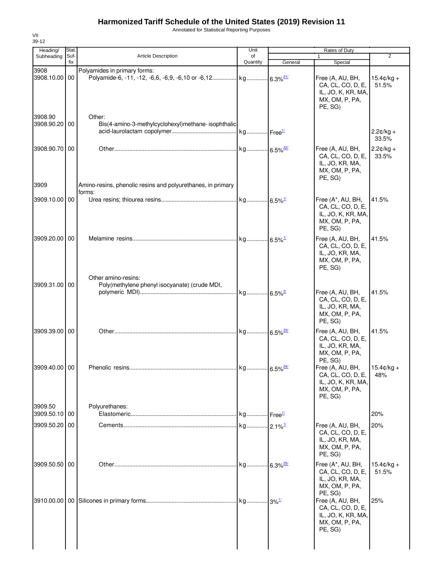Annotated for Statistical Reporting Purposes

| Heading/                 | Stat.       |                                                                       | Unit           |         | Rates of Duty                                                                                       |                       |
|--------------------------|-------------|-----------------------------------------------------------------------|----------------|---------|-----------------------------------------------------------------------------------------------------|-----------------------|
| Subheading               | Suf-<br>fix | <b>Article Description</b>                                            | of<br>Quantity | General | $\mathbf{1}$<br>Special                                                                             | $\overline{2}$        |
| 3908<br>3908.10.00 00    |             | Polyamides in primary forms:                                          |                |         | Free (A, AU, BH,<br>CA, CL, CO, D, E,<br>IL, JO, K, KR, MA,<br>MX, OM, P, PA,<br>PE, SG)            | $15.4¢/kg +$<br>51.5% |
| 3908.90<br>3908.90.20 00 |             | Other:<br>Bis(4-amino-3-methylcyclohexyl)methane-isophthalic          |                |         |                                                                                                     | $2.2¢/kg +$<br>33.5%  |
| 3908.90.70 00            |             |                                                                       |                |         | Free (A, AU, BH,<br>CA, CL, CO, D, E,<br>IL, JO, KR, MA,<br>MX, OM, P, PA,<br>PE, SG)               | $2.2¢/kg +$<br>33.5%  |
| 3909                     |             | Amino-resins, phenolic resins and polyurethanes, in primary<br>forms: |                |         |                                                                                                     |                       |
| 3909.10.00 00            |             |                                                                       |                |         | Free (A*, AU, BH,<br>CA, CL, CO, D, E,<br>IL, JO, K, KR, MA,<br>MX, OM, P, PA,<br>PE, SG)           | 41.5%                 |
| 3909.20.00 00            |             |                                                                       |                |         | Free (A, AU, BH,<br>CA, CL, CO, D, E,<br>IL, JO, KR, MA,<br>MX, OM, P, PA,<br>PE, SG)               | 41.5%                 |
| 3909.31.00 00            |             | Other amino-resins:<br>Poly(methylene phenyl isocyanate) (crude MDI,  |                |         | Free (A, AU, BH,<br>CA, CL, CO, D, E,<br>IL, JO, KR, MA,<br>MX, OM, P, PA,<br>PE, SG)               | 41.5%                 |
| 3909.39.00 00            |             |                                                                       |                |         | Free (A, AU, BH,<br>CA, CL, CO, D, E,<br>IL, JO, KR, MA,<br>MX, OM, P, PA,                          | 41.5%                 |
| 3909.40.00 00            |             |                                                                       |                |         | PE, SG)<br>Free (A, AU, BH,<br>CA, CL, CO, D, E,<br>IL, JO, K, KR, MA,<br>MX, OM, P, PA,<br>PE, SG) | $15.4$ ¢/kg +<br>48%  |
| 3909.50<br>3909.50.10 00 |             | Polyurethanes:                                                        |                |         |                                                                                                     | 20%                   |
| 3909.50.20 00            |             |                                                                       |                |         | Free (A, AU, BH,<br>CA, CL, CO, D, E,<br>IL, JO, KR, MA,<br>MX, OM, P, PA,<br>PE, SG)               | 20%                   |
| 3909.50.50 00            |             |                                                                       |                |         | Free (A*, AU, BH,<br>CA, CL, CO, D, E,<br>IL, JO, KR, MA,<br>MX, OM, P, PA,<br>PE, SG)              | $15.4¢/kg +$<br>51.5% |
|                          |             |                                                                       |                |         | Free (A, AU, BH,<br>CA, CL, CO, D, E,<br>IL, JO, K, KR, MA,<br>MX, OM, P, PA,<br>PE, SG)            | 25%                   |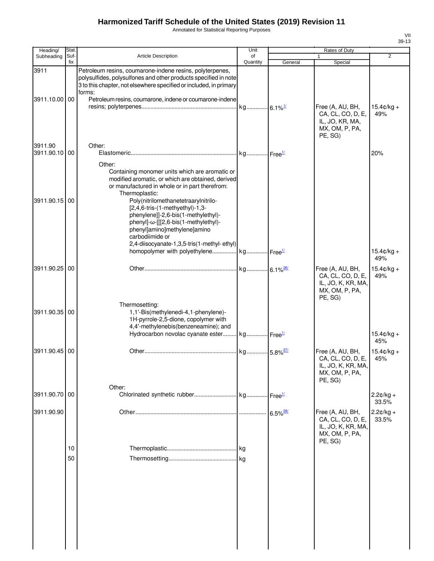Annotated for Statistical Reporting Purposes

| Heading/                 | <b>Stat</b> |                                                                                                                                                                                                                                                                                                                                                                             | Unit           | Rates of Duty          |                                                                                          |                             |  |
|--------------------------|-------------|-----------------------------------------------------------------------------------------------------------------------------------------------------------------------------------------------------------------------------------------------------------------------------------------------------------------------------------------------------------------------------|----------------|------------------------|------------------------------------------------------------------------------------------|-----------------------------|--|
| Subheading               | Suf-<br>fix | <b>Article Description</b>                                                                                                                                                                                                                                                                                                                                                  | of<br>Quantity | General                | 1<br>Special                                                                             | $\overline{2}$              |  |
| 3911<br>3911.10.00 00    |             | Petroleum resins, coumarone-indene resins, polyterpenes,<br>polysulfides, polysulfones and other products specified in note<br>3 to this chapter, not elsewhere specified or included, in primary<br>forms:                                                                                                                                                                 |                |                        |                                                                                          |                             |  |
|                          |             | Petroleum resins, coumarone, indene or coumarone-indene                                                                                                                                                                                                                                                                                                                     |                |                        | Free (A, AU, BH,<br>CA, CL, CO, D, E,<br>IL, JO, KR, MA,<br>MX, OM, P, PA,<br>PE, SG)    | $15.4 \text{c/kg} +$<br>49% |  |
| 3911.90<br>3911.90.10 00 |             | Other:                                                                                                                                                                                                                                                                                                                                                                      |                |                        |                                                                                          | 20%                         |  |
| 3911.90.15               | 00          | Other:<br>Containing monomer units which are aromatic or<br>modified aromatic, or which are obtained, derived<br>or manufactured in whole or in part therefrom:<br>Thermoplastic:<br>Poly(nitrilomethanetetraarylnitrilo-<br>[2,4,6-tris-(1-methyethyl)-1,3-<br>phenylene]]-2,6-bis(1-methylethyl)-<br>phenyl]-ω-[[[2,6-bis(1-methylethyl)-<br>phenyl]amino]methylene]amino |                |                        |                                                                                          |                             |  |
|                          |             | carbodiimide or                                                                                                                                                                                                                                                                                                                                                             |                |                        |                                                                                          |                             |  |
|                          |             | 2,4-diisocyanate-1,3,5-tris(1-methyl-ethyl)<br>homopolymer with polyethylene kg Free <sup>1/</sup>                                                                                                                                                                                                                                                                          |                |                        |                                                                                          | $15.4 \text{c/kg} +$<br>49% |  |
| 3911.90.25               | 00          |                                                                                                                                                                                                                                                                                                                                                                             |                |                        | Free (A, AU, BH,<br>CA, CL, CO, D, E,<br>IL, JO, K, KR, MA,<br>MX, OM, P, PA,<br>PE, SG) | $15.4c/kq +$<br>49%         |  |
| 3911.90.35 00            |             | Thermosetting:<br>1,1'-Bis(methylenedi-4,1-phenylene)-<br>1H-pyrrole-2,5-dione, copolymer with<br>4,4'-methylenebis(benzeneamine); and<br>Hydrocarbon novolac cyanate ester kg Free <sup>1/</sup>                                                                                                                                                                           |                |                        |                                                                                          | $15.4 \text{C/kg} +$        |  |
|                          |             |                                                                                                                                                                                                                                                                                                                                                                             |                |                        |                                                                                          | 45%                         |  |
| 3911.90.45 00            |             |                                                                                                                                                                                                                                                                                                                                                                             |                |                        | Free (A, AU, BH,<br>CA, CL, CO, D, E,<br>IL, JO, K, KR, MA,<br>MX, OM, P, PA,<br>PE, SG) | $15.4 \text{c/kg} +$<br>45% |  |
| 3911.90.70 00            |             | Other:                                                                                                                                                                                                                                                                                                                                                                      |                | Free <sup>1/</sup>     |                                                                                          | $2.2¢/kg +$<br>33.5%        |  |
| 3911.90.90               |             |                                                                                                                                                                                                                                                                                                                                                                             |                | $6.5\%$ <sup>28/</sup> | Free (A, AU, BH,<br>CA, CL, CO, D, E,<br>IL, JO, K, KR, MA,<br>MX, OM, P, PA,<br>PE, SG) | $2.2¢/kg +$<br>33.5%        |  |
|                          | 10          |                                                                                                                                                                                                                                                                                                                                                                             |                |                        |                                                                                          |                             |  |
|                          | 50          |                                                                                                                                                                                                                                                                                                                                                                             |                |                        |                                                                                          |                             |  |
|                          |             |                                                                                                                                                                                                                                                                                                                                                                             |                |                        |                                                                                          |                             |  |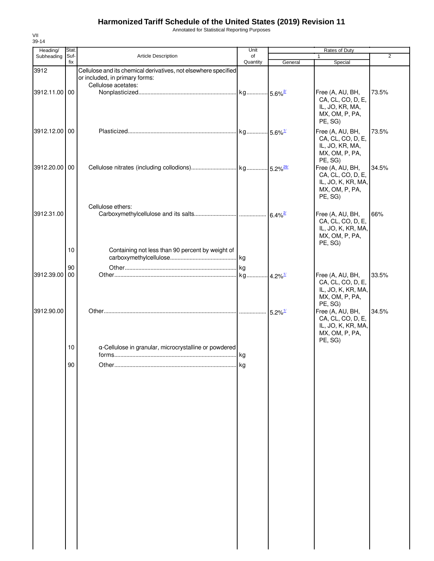Annotated for Statistical Reporting Purposes

| Heading/      | Stat.       |                                                                                                                          | Unit           |         | Rates of Duty                                                                            |                |
|---------------|-------------|--------------------------------------------------------------------------------------------------------------------------|----------------|---------|------------------------------------------------------------------------------------------|----------------|
| Subheading    | Suf-<br>fix | Article Description                                                                                                      | of<br>Quantity | General | $\mathbf{1}$<br>Special                                                                  | $\overline{2}$ |
| 3912          |             | Cellulose and its chemical derivatives, not elsewhere specified<br>or included, in primary forms:<br>Cellulose acetates: |                |         |                                                                                          |                |
| 3912.11.00 00 |             |                                                                                                                          |                |         | Free (A, AU, BH,<br>CA, CL, CO, D, E,<br>IL, JO, KR, MA,<br>MX, OM, P, PA,<br>PE, SG)    | 73.5%          |
| 3912.12.00 00 |             |                                                                                                                          |                |         | Free (A, AU, BH,<br>CA, CL, CO, D, E,<br>IL, JO, KR, MA,<br>MX, OM, P, PA,<br>PE, SG)    | 73.5%          |
| 3912.20.00 00 |             | Cellulose ethers:                                                                                                        |                |         | Free (A, AU, BH,<br>CA, CL, CO, D, E,<br>IL, JO, K, KR, MA,<br>MX, OM, P, PA,<br>PE, SG) | 34.5%          |
| 3912.31.00    |             |                                                                                                                          |                |         | Free (A, AU, BH,<br>CA, CL, CO, D, E,<br>IL, JO, K, KR, MA,<br>MX, OM, P, PA,<br>PE, SG) | 66%            |
|               | 10          | Containing not less than 90 percent by weight of                                                                         |                |         |                                                                                          |                |
| 3912.39.00 00 | 90          |                                                                                                                          |                |         | Free (A, AU, BH,<br>CA, CL, CO, D, E,<br>IL, JO, K, KR, MA,<br>MX, OM, P, PA,            | 33.5%          |
| 3912.90.00    |             |                                                                                                                          |                |         | PE, SG)<br>Free (A, AU, BH,<br>CA, CL, CO, D, E,<br>IL, JO, K, KR, MA,<br>MX, OM, P, PA, | 34.5%          |
|               | 10          | a-Cellulose in granular, microcrystalline or powdered                                                                    |                |         | PE, SG)                                                                                  |                |
|               | 90          |                                                                                                                          |                |         |                                                                                          |                |
|               |             |                                                                                                                          |                |         |                                                                                          |                |
|               |             |                                                                                                                          |                |         |                                                                                          |                |
|               |             |                                                                                                                          |                |         |                                                                                          |                |
|               |             |                                                                                                                          |                |         |                                                                                          |                |
|               |             |                                                                                                                          |                |         |                                                                                          |                |
|               |             |                                                                                                                          |                |         |                                                                                          |                |
|               |             |                                                                                                                          |                |         |                                                                                          |                |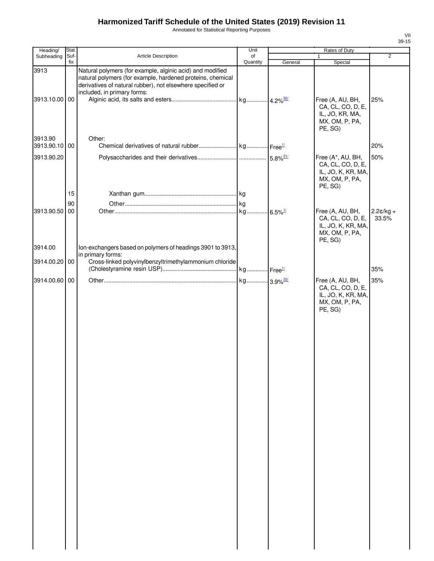Annotated for Statistical Reporting Purposes

| Heading/                               | Stat. |                                                                                                                                                                                                                      | Unit     |         | Rates of Duty                                                                                                          |                      |
|----------------------------------------|-------|----------------------------------------------------------------------------------------------------------------------------------------------------------------------------------------------------------------------|----------|---------|------------------------------------------------------------------------------------------------------------------------|----------------------|
| Subheading                             | Suf-  | Article Description                                                                                                                                                                                                  | of       |         | $\mathbf{1}$                                                                                                           | $\overline{2}$       |
| 3913<br>3913.10.00 00                  | fix   | Natural polymers (for example, alginic acid) and modified<br>natural polymers (for example, hardened proteins, chemical<br>derivatives of natural rubber), not elsewhere specified or<br>included, in primary forms: | Quantity | General | Special<br>Free (A, AU, BH,<br>CA, CL, CO, D, E,<br>IL, JO, KR, MA,                                                    | 25%                  |
| 3913.90<br>3913.90.10 00<br>3913.90.20 |       | Other:                                                                                                                                                                                                               |          |         | MX, OM, P, PA,<br>PE, SG)<br>Free (A*, AU, BH,<br>CA, CL, CO, D, E,<br>IL, JO, K, KR, MA,<br>MX, OM, P, PA,<br>PE, SG) | 20%<br>50%           |
|                                        | 15    |                                                                                                                                                                                                                      |          |         |                                                                                                                        |                      |
|                                        | 90    |                                                                                                                                                                                                                      |          |         |                                                                                                                        |                      |
| 3913.90.50 00                          |       |                                                                                                                                                                                                                      |          |         | Free (A, AU, BH,<br>CA, CL, CO, D, E,<br>IL, JO, K, KR, MA,<br>MX, OM, P, PA,<br>PE, SG)                               | $2.2¢/kg +$<br>33.5% |
| 3914.00                                |       | Ion-exchangers based on polymers of headings 3901 to 3913,<br>in primary forms:                                                                                                                                      |          |         |                                                                                                                        |                      |
| 3914.00.20 00                          |       | Cross-linked polyvinylbenzyltrimethylammonium chloride                                                                                                                                                               |          |         |                                                                                                                        | 35%                  |
| 3914.00.60 00                          |       |                                                                                                                                                                                                                      |          |         | Free (A, AU, BH,<br>CA, CL, CO, D, E,<br>IL, JO, K, KR, MA,<br>MX, OM, P, PA,<br>PE, SG)                               | 35%                  |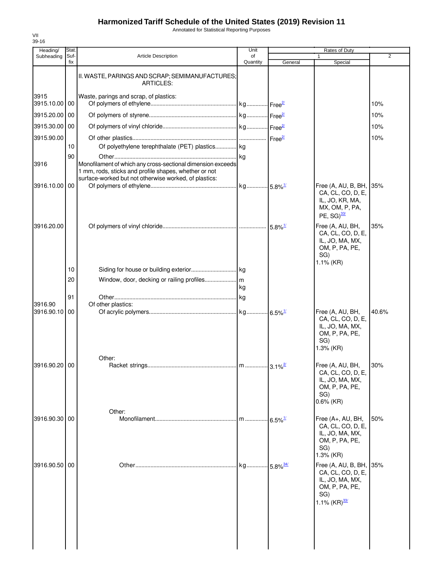Annotated for Statistical Reporting Purposes

| 39-16<br>Heading/ | Stat.    |                                                                                                                                                                               | Unit     |                             | Rates of Duty                                                                                                  |       |
|-------------------|----------|-------------------------------------------------------------------------------------------------------------------------------------------------------------------------------|----------|-----------------------------|----------------------------------------------------------------------------------------------------------------|-------|
| Subheading        | Suf-     | <b>Article Description</b>                                                                                                                                                    | of       |                             |                                                                                                                | 2     |
|                   | fix      | II. WASTE, PARINGS AND SCRAP; SEMIMANUFACTURES;                                                                                                                               | Quantity | General                     | Special                                                                                                        |       |
| 3915              |          | <b>ARTICLES:</b><br>Waste, parings and scrap, of plastics:                                                                                                                    |          |                             |                                                                                                                |       |
| 3915.10.00 00     |          |                                                                                                                                                                               |          |                             |                                                                                                                | 10%   |
| 3915.20.00 00     |          |                                                                                                                                                                               |          |                             |                                                                                                                | 10%   |
| 3915.30.00 00     |          |                                                                                                                                                                               |          |                             |                                                                                                                | 10%   |
| 3915.90.00        |          |                                                                                                                                                                               |          |                             |                                                                                                                | 10%   |
|                   | 10<br>90 | Of polyethylene terephthalate (PET) plastics kg                                                                                                                               |          |                             |                                                                                                                |       |
| 3916              |          | Monofilament of which any cross-sectional dimension exceeds<br>1 mm, rods, sticks and profile shapes, whether or not<br>surface-worked but not otherwise worked, of plastics: |          |                             |                                                                                                                |       |
| 3916.10.00 00     |          |                                                                                                                                                                               |          |                             | Free (A, AU, B, BH,<br>CA, CL, CO, D, E,                                                                       | 35%   |
|                   |          |                                                                                                                                                                               |          |                             | IL, JO, KR, MA,<br>MX, OM, P, PA,<br>$PE, SG)$ <sup>33/</sup>                                                  |       |
| 3916.20.00        |          |                                                                                                                                                                               |          |                             | Free (A, AU, BH,<br>CA, CL, CO, D, E,<br>IL, JO, MA, MX,<br>OM, P, PA, PE,<br>SG)<br>$1.1\%$ (KR)              | 35%   |
|                   | 10       |                                                                                                                                                                               |          |                             |                                                                                                                |       |
|                   | 20       |                                                                                                                                                                               | kg       |                             |                                                                                                                |       |
| 3916.90           | 91       | Of other plastics:                                                                                                                                                            |          |                             |                                                                                                                |       |
| 3916.90.10        | 00       |                                                                                                                                                                               |          |                             | Free (A, AU, BH,<br>CA, CL, CO, D, E,<br>IL, JO, MA, MX,<br>OM, P, PA, PE,<br>SG)<br>$1.3%$ (KR)               | 40.6% |
| 3916.90.20 00     |          | Other:                                                                                                                                                                        |          | $\cdot$ 3.1% $\frac{27}{2}$ | Free (A, AU, BH,                                                                                               | 30%   |
|                   |          |                                                                                                                                                                               |          |                             | CA, CL, CO, D, E,<br>IL, JO, MA, MX,<br>OM, P, PA, PE,<br>SG)<br>$0.6\%$ (KR)                                  |       |
| 3916.90.30 00     |          | Other:                                                                                                                                                                        | m        | $-6.5\%$ <sup>1/</sup>      | Free (A+, AU, BH,                                                                                              | 50%   |
|                   |          |                                                                                                                                                                               |          |                             | CA, CL, CO, D, E,<br>IL, JO, MA, MX,<br>OM, P, PA, PE,<br>SG)<br>$1.3%$ (KR)                                   |       |
| 3916.90.50 00     |          |                                                                                                                                                                               |          |                             | Free (A, AU, B, BH, 35%<br>CA, CL, CO, D, E,<br>IL, JO, MA, MX,<br>OM, P, PA, PE,<br>SG)<br>1.1% $(KR)^{33/2}$ |       |
|                   |          |                                                                                                                                                                               |          |                             |                                                                                                                |       |

VII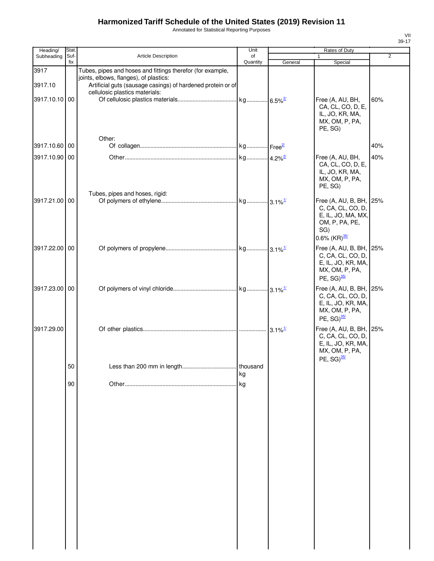Annotated for Statistical Reporting Purposes

| Heading/        | Stat.       |                                                                                                                                                                                                       | Unit           |         | Rates of Duty                                                                                                           |                |
|-----------------|-------------|-------------------------------------------------------------------------------------------------------------------------------------------------------------------------------------------------------|----------------|---------|-------------------------------------------------------------------------------------------------------------------------|----------------|
| Subheading      | Suf-<br>fix | Article Description                                                                                                                                                                                   | of<br>Quantity | General | $\mathbf{1}$<br>Special                                                                                                 | $\overline{2}$ |
| 3917<br>3917.10 |             | Tubes, pipes and hoses and fittings therefor (for example,<br>joints, elbows, flanges), of plastics:<br>Artificial guts (sausage casings) of hardened protein or of<br>cellulosic plastics materials: |                |         |                                                                                                                         |                |
| 3917.10.10 00   |             |                                                                                                                                                                                                       |                |         | Free (A, AU, BH,<br>CA, CL, CO, D, E,<br>IL, JO, KR, MA,<br>MX, OM, P, PA,<br>PE, SG)                                   | 60%            |
| 3917.10.60 00   |             | Other:                                                                                                                                                                                                |                |         |                                                                                                                         | 40%            |
| 3917.10.90 00   |             |                                                                                                                                                                                                       |                |         | Free (A, AU, BH,<br>CA, CL, CO, D, E,<br>IL, JO, KR, MA,<br>MX, OM, P, PA,<br>PE, SG)                                   | 40%            |
|                 |             | Tubes, pipes and hoses, rigid:                                                                                                                                                                        |                |         |                                                                                                                         |                |
| 3917.21.00 00   |             |                                                                                                                                                                                                       |                |         | Free (A, AU, B, BH, 25%<br>C, CA, CL, CO, D,<br>E, IL, JO, MA, MX,<br>OM, P, PA, PE,<br>SG)<br>0.6% (KR) $\frac{35}{1}$ |                |
| 3917.22.00 00   |             |                                                                                                                                                                                                       |                |         | Free (A, AU, B, BH, 25%<br>C, CA, CL, CO, D,<br>E, IL, JO, KR, MA,<br>MX, OM, P, PA,<br>PE, $SG)^{\frac{35}{}}$         |                |
| 3917.23.00 00   |             |                                                                                                                                                                                                       |                |         | Free (A, AU, B, BH, 25%<br>C, CA, CL, CO, D,<br>E, IL, JO, KR, MA,<br>MX, OM, P, PA,<br>PE, $SG)^{35/2}$                |                |
| 3917.29.00      |             |                                                                                                                                                                                                       |                |         | Free (A, AU, B, BH, 25%<br>C, CA, CL, CO, D,<br>E, IL, JO, KR, MA,<br>MX, OM, P, PA,<br>PE, $SG)^{\frac{35}{}}$         |                |
|                 | 50          |                                                                                                                                                                                                       | thousand       |         |                                                                                                                         |                |
|                 | 90          |                                                                                                                                                                                                       | kg<br>kg       |         |                                                                                                                         |                |
|                 |             |                                                                                                                                                                                                       |                |         |                                                                                                                         |                |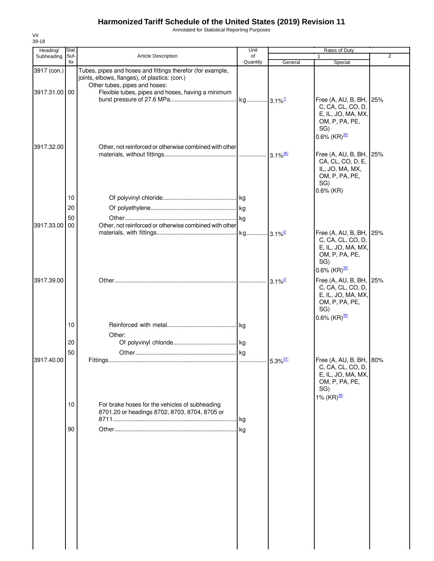Annotated for Statistical Reporting Purposes

| Heading/      | Stat.       |                                                                                                             | Unit           |                        | Rates of Duty                                                                                                            |                |
|---------------|-------------|-------------------------------------------------------------------------------------------------------------|----------------|------------------------|--------------------------------------------------------------------------------------------------------------------------|----------------|
| Subheading    | Suf-<br>fix | Article Description                                                                                         | of<br>Quantity | General                | Special                                                                                                                  | $\overline{2}$ |
| 3917 (con.)   |             | Tubes, pipes and hoses and fittings therefor (for example,<br>joints, elbows, flanges), of plastics: (con.) |                |                        |                                                                                                                          |                |
| 3917.31.00 00 |             | Other tubes, pipes and hoses:<br>Flexible tubes, pipes and hoses, having a minimum                          |                |                        | Free (A, AU, B, BH, 25%<br>C, CA, CL, CO, D,                                                                             |                |
|               |             |                                                                                                             |                |                        | E, IL, JO, MA, MX,<br>OM, P, PA, PE,<br>SG)<br>0.6% $(KR)^{\frac{35}{2}}$                                                |                |
| 3917.32.00    |             | Other, not reinforced or otherwise combined with other                                                      |                | $3.1\%$ <sup>36/</sup> | Free (A, AU, B, BH, 25%<br>CA, CL, CO, D, E,<br>IL, JO, MA, MX,<br>OM, P, PA, PE,<br>SG)                                 |                |
|               | 10          |                                                                                                             |                |                        | $0.6\%$ (KR)                                                                                                             |                |
|               | 20          |                                                                                                             |                |                        |                                                                                                                          |                |
|               | 50          |                                                                                                             |                |                        |                                                                                                                          |                |
| 3917.33.00    | 00          | Other, not reinforced or otherwise combined with other                                                      |                |                        |                                                                                                                          |                |
|               |             |                                                                                                             |                |                        | Free (A, AU, B, BH, 25%<br>C, CA, CL, CO, D,<br>E, IL, JO, MA, MX,<br>OM, P, PA, PE,<br>SG)<br>0.6% $(KR)^{\frac{35}{}}$ |                |
| 3917.39.00    |             |                                                                                                             |                | $3.1\%$ <sup>2/</sup>  | Free (A, AU, B, BH, 25%<br>C, CA, CL, CO, D,<br>E, IL, JO, MA, MX,<br>OM, P, PA, PE,<br>SG)<br>0.6% $(KR)^{35/2}$        |                |
|               | 10          |                                                                                                             |                |                        |                                                                                                                          |                |
|               |             | Other:                                                                                                      |                |                        |                                                                                                                          |                |
|               | 20          |                                                                                                             |                |                        |                                                                                                                          |                |
|               | 50          |                                                                                                             |                |                        |                                                                                                                          |                |
| 3917.40.00    |             |                                                                                                             |                | $5.3\%$ <sup>37/</sup> | Free (A, AU, B, BH, 80%<br>C, CA, CL, CO, D,<br>E, IL, JO, MA, MX,<br>OM, P, PA, PE,<br>SG)<br>1% $(KR)^{35/2}$          |                |
|               | 10          | For brake hoses for the vehicles of subheading<br>8701.20 or headings 8702, 8703, 8704, 8705 or             |                |                        |                                                                                                                          |                |
|               | 90          |                                                                                                             |                |                        |                                                                                                                          |                |
|               |             |                                                                                                             |                |                        |                                                                                                                          |                |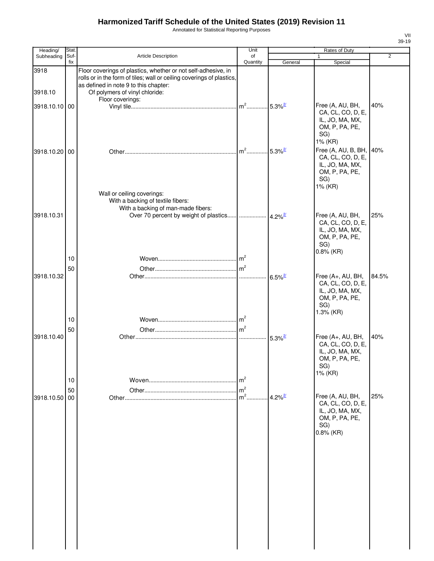3918

3918.10

Annotated for Statistical Reporting Purposes

| Heading/        | Stat.       |                                                                                                                                                                                                                   | Unit                                       |                       | Rates of Duty                                                                                                       |                |
|-----------------|-------------|-------------------------------------------------------------------------------------------------------------------------------------------------------------------------------------------------------------------|--------------------------------------------|-----------------------|---------------------------------------------------------------------------------------------------------------------|----------------|
| Subheading      | Suf-<br>fix | <b>Article Description</b>                                                                                                                                                                                        | of<br>Quantity                             | General               | $\mathbf{1}$<br>Special                                                                                             | $\overline{2}$ |
| 3918<br>3918.10 |             | Floor coverings of plastics, whether or not self-adhesive, in<br>rolls or in the form of tiles; wall or ceiling coverings of plastics,<br>as defined in note 9 to this chapter:<br>Of polymers of vinyl chloride: |                                            |                       |                                                                                                                     |                |
|                 |             | Floor coverings:                                                                                                                                                                                                  |                                            |                       |                                                                                                                     |                |
| 3918.10.10 00   |             |                                                                                                                                                                                                                   |                                            |                       | Free (A, AU, BH,<br>CA, CL, CO, D, E,<br>IL, JO, MA, MX,<br>OM, P, PA, PE,<br>SG)<br>1% (KR)                        | 40%            |
| 3918.10.20 00   |             |                                                                                                                                                                                                                   | $m2$                                       | $5.3\%$ <sup>2/</sup> | Free (A, AU, B, BH,<br>CA, CL, CO, D, E,<br>IL, JO, MA, MX,<br>OM, P, PA, PE,<br>SG)<br>1% (KR)                     | 40%            |
| 3918.10.31      |             | Wall or ceiling coverings:<br>With a backing of textile fibers:<br>With a backing of man-made fibers:                                                                                                             |                                            |                       | Free (A, AU, BH,<br>CA, CL, CO, D, E,<br>IL, JO, MA, MX,<br>OM, P, PA, PE,<br>SG)                                   | 25%            |
| 3918.10.32      | 10<br>50    |                                                                                                                                                                                                                   |                                            | $6.5\%$ <sup>2/</sup> | $0.8\%$ (KR)<br>Free (A+, AU, BH,<br>CA, CL, CO, D, E,<br>IL, JO, MA, MX,<br>OM, P, PA, PE,<br>SG)                  | 84.5%          |
| 3918.10.40      | 10<br>50    |                                                                                                                                                                                                                   | m <sup>2</sup>                             | $5.3\%$ <sup>2/</sup> | 1.3% (KR)<br>Free (A+, AU, BH,<br>CA, CL, CO, D, E,<br>IL, JO, MA, MX,<br>OM, P, PA, PE,                            | 40%            |
| 3918.10.50 00   | 10<br>50    |                                                                                                                                                                                                                   | m <sup>2</sup><br>m <sup>2</sup><br>$m2$ . | $4.2\%$ <sup>2/</sup> | SG)<br>1% (KR)<br>Free (A, AU, BH,<br>CA, CL, CO, D, E,<br>IL, JO, MA, MX,<br>OM, P, PA, PE,<br>SG)<br>$0.8\%$ (KR) | 25%            |
|                 |             |                                                                                                                                                                                                                   |                                            |                       |                                                                                                                     |                |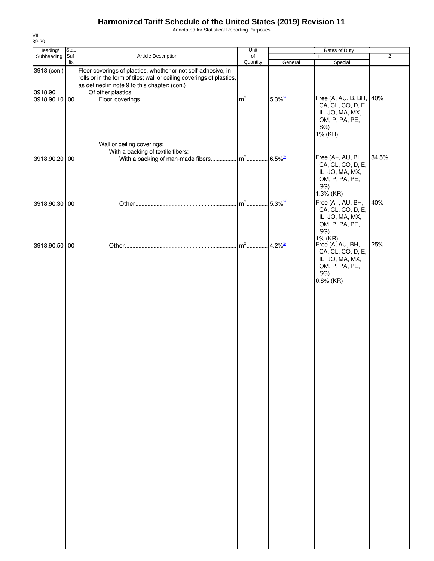Annotated for Statistical Reporting Purposes

| Heading/                                | Stat. |                                                                                                                                                                                                              | Unit             |                                   | Rates of Duty                                                                                                       |                |
|-----------------------------------------|-------|--------------------------------------------------------------------------------------------------------------------------------------------------------------------------------------------------------------|------------------|-----------------------------------|---------------------------------------------------------------------------------------------------------------------|----------------|
| Subheading                              | Suf-  | Article Description                                                                                                                                                                                          | of               |                                   | $\mathbf{1}$                                                                                                        | $\overline{2}$ |
| 3918 (con.)<br>3918.90<br>3918.90.10 00 | fix   | Floor coverings of plastics, whether or not self-adhesive, in<br>rolls or in the form of tiles; wall or ceiling coverings of plastics,<br>as defined in note 9 to this chapter: (con.)<br>Of other plastics: | Quantity<br>$m2$ | General<br>$.5.3\%$ <sup>2/</sup> | Special<br>Free (A, AU, B, BH, 40%<br>CA, CL, CO, D, E,<br>IL, JO, MA, MX,<br>OM, P, PA, PE,<br>SG)<br>1% (KR)      |                |
| 3918.90.20 00                           |       | Wall or ceiling coverings:<br>With a backing of textile fibers:                                                                                                                                              |                  |                                   | Free (A+, AU, BH,<br>CA, CL, CO, D, E,<br>IL, JO, MA, MX,<br>OM, P, PA, PE,<br>SG)                                  | 84.5%          |
| 3918.90.30 00                           |       |                                                                                                                                                                                                              | $m2$             | $.5.3\%$ <sup>2/</sup>            | 1.3% (KR)<br>Free (A+, AU, BH,<br>CA, CL, CO, D, E,<br>IL, JO, MA, MX,<br>OM, P, PA, PE,                            | 40%            |
| 3918.90.50 00                           |       |                                                                                                                                                                                                              | $m2$             | $4.2\%$ <sup>2/</sup>             | SG)<br>1% (KR)<br>Free (A, AU, BH,<br>CA, CL, CO, D, E,<br>IL, JO, MA, MX,<br>OM, P, PA, PE,<br>SG)<br>$0.8\%$ (KR) | 25%            |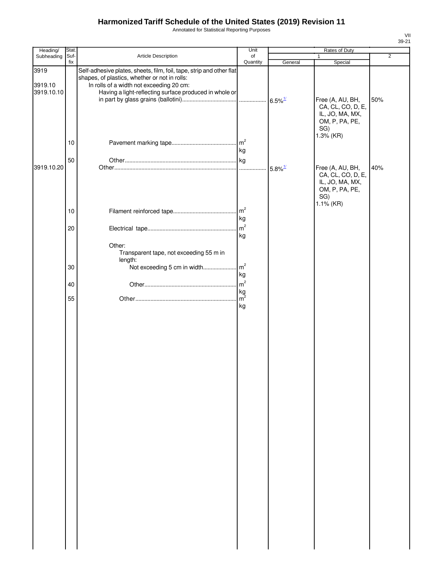Annotated for Statistical Reporting Purposes

| Heading/                      | Stat.    |                                                                                                                                                                                                                             | Unit                               | Rates of Duty         |                                                                                                   |                |  |
|-------------------------------|----------|-----------------------------------------------------------------------------------------------------------------------------------------------------------------------------------------------------------------------------|------------------------------------|-----------------------|---------------------------------------------------------------------------------------------------|----------------|--|
| Subheading                    | Suf-     | Article Description                                                                                                                                                                                                         | of                                 |                       | 1                                                                                                 | $\overline{2}$ |  |
| 3919<br>3919.10<br>3919.10.10 | fix      | Self-adhesive plates, sheets, film, foil, tape, strip and other flat<br>shapes, of plastics, whether or not in rolls:<br>In rolls of a width not exceeding 20 cm:<br>Having a light-reflecting surface produced in whole or | Quantity                           | General               | Special<br>Free (A, AU, BH,<br>CA, CL, CO, D, E,<br>IL, JO, MA, MX,<br>OM, P, PA, PE,<br>SG)      | 50%            |  |
|                               | 10       |                                                                                                                                                                                                                             | kg                                 |                       | 1.3% (KR)                                                                                         |                |  |
| 3919.10.20                    | 50       |                                                                                                                                                                                                                             |                                    | $5.8\%$ <sup>1/</sup> | Free (A, AU, BH,<br>CA, CL, CO, D, E,<br>IL, JO, MA, MX,<br>OM, P, PA, PE,<br>SG)<br>$1.1\%$ (KR) | 40%            |  |
|                               | 10       |                                                                                                                                                                                                                             | m <sup>2</sup><br>kg               |                       |                                                                                                   |                |  |
|                               | 20       | Other:<br>Transparent tape, not exceeding 55 m in                                                                                                                                                                           | m <sup>2</sup><br>kg               |                       |                                                                                                   |                |  |
|                               | 30       | length:                                                                                                                                                                                                                     | kg                                 |                       |                                                                                                   |                |  |
|                               | 40<br>55 |                                                                                                                                                                                                                             | m <sup>2</sup><br>$\frac{kg}{m^2}$ |                       |                                                                                                   |                |  |
|                               |          |                                                                                                                                                                                                                             | kg                                 |                       |                                                                                                   |                |  |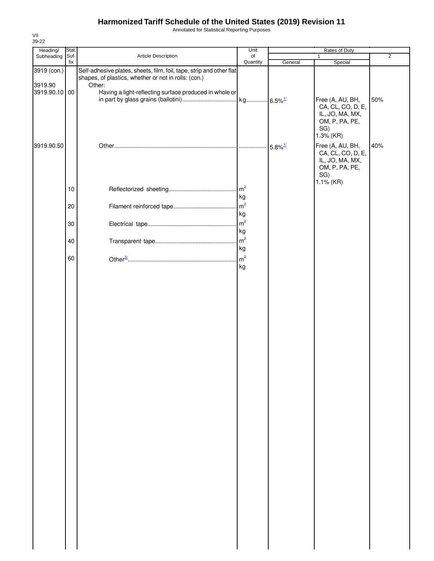Annotated for Statistical Reporting Purposes

| Heading/      | Stat. |                                                                                                                              | Unit     |         | Rates of Duty                                                                                  |                |
|---------------|-------|------------------------------------------------------------------------------------------------------------------------------|----------|---------|------------------------------------------------------------------------------------------------|----------------|
| Subheading    | Suf-  | Article Description                                                                                                          | of       |         | $\mathbf{1}$                                                                                   | $\overline{2}$ |
| 3919 (con.)   | fix   | Self-adhesive plates, sheets, film, foil, tape, strip and other flat<br>shapes, of plastics, whether or not in rolls: (con.) | Quantity | General | Special                                                                                        |                |
| 3919.90       |       | Other:                                                                                                                       |          |         |                                                                                                |                |
| 3919.90.10 00 |       | Having a light-reflecting surface produced in whole or                                                                       |          |         | Free (A, AU, BH,                                                                               | 50%            |
|               |       |                                                                                                                              |          |         | CA, CL, CO, D, E,<br>IL, JO, MA, MX,<br>OM, P, PA, PE,<br>SG)<br>1.3% (KR)                     |                |
| 3919.90.50    |       |                                                                                                                              |          |         | Free (A, AU, BH,<br>CA, CL, CO, D, E,<br>IL, JO, MA, MX,<br>OM, P, PA, PE,<br>SG)<br>1.1% (KR) | 40%            |
|               | 10    |                                                                                                                              | kg       |         |                                                                                                |                |
|               | 20    |                                                                                                                              | kg       |         |                                                                                                |                |
|               | 30    |                                                                                                                              | kg       |         |                                                                                                |                |
|               | 40    |                                                                                                                              | kg       |         |                                                                                                |                |
|               | 60    |                                                                                                                              | kg       |         |                                                                                                |                |
|               |       |                                                                                                                              |          |         |                                                                                                |                |
|               |       |                                                                                                                              |          |         |                                                                                                |                |
|               |       |                                                                                                                              |          |         |                                                                                                |                |
|               |       |                                                                                                                              |          |         |                                                                                                |                |
|               |       |                                                                                                                              |          |         |                                                                                                |                |
|               |       |                                                                                                                              |          |         |                                                                                                |                |
|               |       |                                                                                                                              |          |         |                                                                                                |                |
|               |       |                                                                                                                              |          |         |                                                                                                |                |
|               |       |                                                                                                                              |          |         |                                                                                                |                |
|               |       |                                                                                                                              |          |         |                                                                                                |                |
|               |       |                                                                                                                              |          |         |                                                                                                |                |
|               |       |                                                                                                                              |          |         |                                                                                                |                |
|               |       |                                                                                                                              |          |         |                                                                                                |                |
|               |       |                                                                                                                              |          |         |                                                                                                |                |
|               |       |                                                                                                                              |          |         |                                                                                                |                |
|               |       |                                                                                                                              |          |         |                                                                                                |                |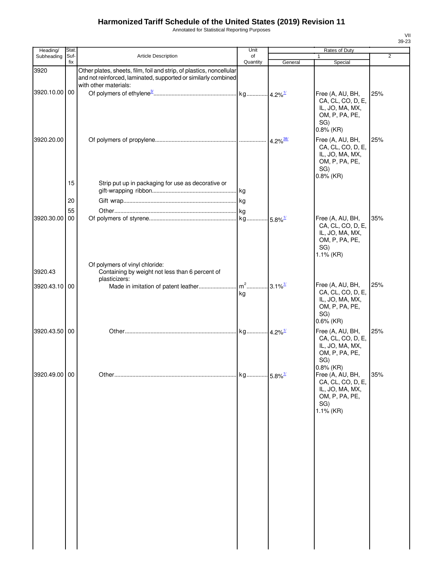Annotated for Statistical Reporting Purposes

| Heading/      | Stat.       |                                                                                                                                                                 | Unit           |                             | Rates of Duty                                                                                                 |                |
|---------------|-------------|-----------------------------------------------------------------------------------------------------------------------------------------------------------------|----------------|-----------------------------|---------------------------------------------------------------------------------------------------------------|----------------|
| Subheading    | Suf-<br>fix | Article Description                                                                                                                                             | of<br>Quantity | General                     | 1<br>Special                                                                                                  | $\overline{2}$ |
| 3920          |             | Other plates, sheets, film, foil and strip, of plastics, noncellular<br>and not reinforced, laminated, supported or similarly combined<br>with other materials: |                |                             |                                                                                                               |                |
| 3920.10.00 00 |             |                                                                                                                                                                 |                |                             | Free (A, AU, BH,<br>CA, CL, CO, D, E,<br>IL, JO, MA, MX,<br>OM, P, PA, PE,<br>SG)<br>$0.8\%$ (KR)             | 25%            |
| 3920.20.00    |             |                                                                                                                                                                 |                | $\cdot$ 4.2% <sup>38/</sup> | Free (A, AU, BH,<br>CA, CL, CO, D, E,<br>IL, JO, MA, MX,<br>OM, P, PA, PE,<br>SG)<br>$0.8\%$ (KR)             | 25%            |
|               | 15          | Strip put up in packaging for use as decorative or                                                                                                              |                |                             |                                                                                                               |                |
|               | 20          |                                                                                                                                                                 |                |                             |                                                                                                               |                |
|               | 55          |                                                                                                                                                                 |                |                             |                                                                                                               |                |
| 3920.30.00    | 00          |                                                                                                                                                                 |                |                             | Free (A, AU, BH,<br>CA, CL, CO, D, E,<br>IL, JO, MA, MX,<br>OM, P, PA, PE,<br>SG)<br>1.1% (KR)                | 35%            |
|               |             | Of polymers of vinyl chloride:                                                                                                                                  |                |                             |                                                                                                               |                |
| 3920.43       |             | Containing by weight not less than 6 percent of<br>plasticizers:                                                                                                |                |                             |                                                                                                               |                |
| 3920.43.10 00 |             |                                                                                                                                                                 | kg             |                             | Free (A, AU, BH,<br>CA, CL, CO, D, E,<br>IL, JO, MA, MX,<br>OM, P, PA, PE,<br>SG)<br>$0.6\%$ (KR)             | 25%            |
| 3920.43.50 00 |             |                                                                                                                                                                 |                |                             | Free (A, AU, BH,<br>CA, CL, CO, D, E,<br>IL, JO, MA, MX,<br>OM, P, PA, PE,<br>SG)                             | 25%            |
| 3920.49.00 00 |             |                                                                                                                                                                 |                |                             | $0.8%$ (KR)<br>Free (A, AU, BH,<br>CA, CL, CO, D, E,<br>IL, JO, MA, MX,<br>OM, P, PA, PE,<br>SG)<br>1.1% (KR) | 35%            |
|               |             |                                                                                                                                                                 |                |                             |                                                                                                               |                |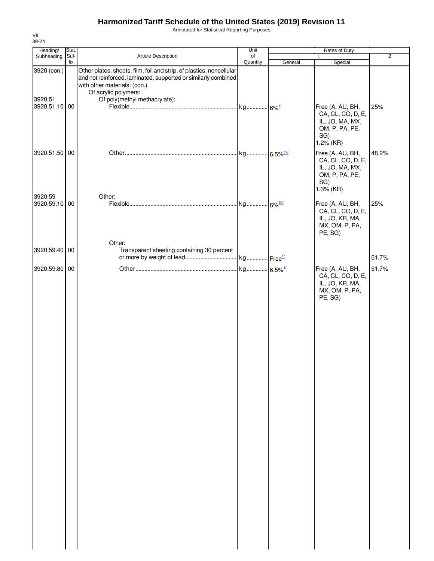Annotated for Statistical Reporting Purposes

| Heading/                                | Stat. |                                                                                                                                                                                                                                 | Unit     |         | Rates of Duty                                                                                      |                |
|-----------------------------------------|-------|---------------------------------------------------------------------------------------------------------------------------------------------------------------------------------------------------------------------------------|----------|---------|----------------------------------------------------------------------------------------------------|----------------|
| Subheading                              | Suf-  | Article Description                                                                                                                                                                                                             | of       |         | $\mathbf{1}$                                                                                       | $\overline{2}$ |
|                                         | fix   |                                                                                                                                                                                                                                 | Quantity | General | Special                                                                                            |                |
| 3920 (con.)<br>3920.51<br>3920.51.10 00 |       | Other plates, sheets, film, foil and strip, of plastics, noncellular<br>and not reinforced, laminated, supported or similarly combined<br>with other materials: (con.)<br>Of acrylic polymers:<br>Of poly(methyl methacrylate): |          |         | Free (A, AU, BH,<br>CA, CL, CO, D, E,<br>IL, JO, MA, MX,<br>OM, P, PA, PE,<br>SG)                  | 25%            |
| 3920.51.50 00                           |       |                                                                                                                                                                                                                                 |          |         | 1.2% (KR)<br>Free (A, AU, BH,<br>CA, CL, CO, D, E,<br>IL, JO, MA, MX,<br>OM, P, PA, PE,<br>SG)     | 48.2%          |
| 3920.59<br>3920.59.10 00                |       | Other:                                                                                                                                                                                                                          |          |         | 1.3% (KR)<br>Free (A, AU, BH,<br>CA, CL, CO, D, E,<br>IL, JO, KR, MA,<br>MX, OM, P, PA,<br>PE, SG) | 25%            |
|                                         |       | Other:                                                                                                                                                                                                                          |          |         |                                                                                                    |                |
| 3920.59.40                              | 00    | Transparent sheeting containing 30 percent                                                                                                                                                                                      |          |         |                                                                                                    | 51.7%          |
| 3920.59.80 00                           |       |                                                                                                                                                                                                                                 |          |         | Free (A, AU, BH,                                                                                   | 51.7%          |
|                                         |       |                                                                                                                                                                                                                                 |          |         | CA, CL, CO, D, E,<br>IL, JO, KR, MA,<br>MX, OM, P, PA,<br>PE, SG)                                  |                |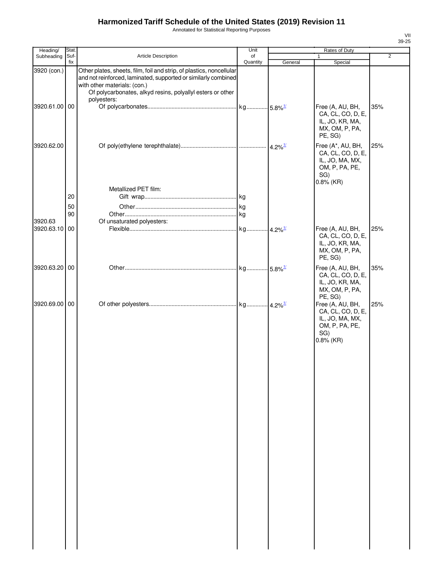Annotated for Statistical Reporting Purposes

| Heading/      | Stat. |                                                                                                                                                                                                                                      | Unit     | Rates of Duty         |                                                                                                    |                |  |
|---------------|-------|--------------------------------------------------------------------------------------------------------------------------------------------------------------------------------------------------------------------------------------|----------|-----------------------|----------------------------------------------------------------------------------------------------|----------------|--|
| Subheading    | Suf-  | Article Description                                                                                                                                                                                                                  | of       |                       | 1                                                                                                  | $\overline{2}$ |  |
| 3920 (con.)   | fix   | Other plates, sheets, film, foil and strip, of plastics, noncellular<br>and not reinforced, laminated, supported or similarly combined<br>with other materials: (con.)<br>Of polycarbonates, alkyd resins, polyallyl esters or other | Quantity | General               | Special                                                                                            |                |  |
| 3920.61.00 00 |       | polyesters:                                                                                                                                                                                                                          |          |                       | Free (A, AU, BH,<br>CA, CL, CO, D, E,<br>IL, JO, KR, MA,<br>MX, OM, P, PA,<br>PE, SG)              | 35%            |  |
| 3920.62.00    |       | Metallized PET film:                                                                                                                                                                                                                 |          | $4.2\%$ <sup>1/</sup> | Free (A*, AU, BH,<br>CA, CL, CO, D, E,<br>IL, JO, MA, MX,<br>OM, P, PA, PE,<br>SG)<br>$0.8\%$ (KR) | 25%            |  |
|               | 20    |                                                                                                                                                                                                                                      |          |                       |                                                                                                    |                |  |
|               |       |                                                                                                                                                                                                                                      |          |                       |                                                                                                    |                |  |
|               | 50    |                                                                                                                                                                                                                                      |          |                       |                                                                                                    |                |  |
|               | 90    |                                                                                                                                                                                                                                      |          |                       |                                                                                                    |                |  |
| 3920.63       |       | Of unsaturated polyesters:                                                                                                                                                                                                           |          |                       |                                                                                                    |                |  |
| 3920.63.10 00 |       |                                                                                                                                                                                                                                      |          |                       | Free (A, AU, BH,<br>CA, CL, CO, D, E,<br>IL, JO, KR, MA,<br>MX, OM, P, PA,<br>PE, SG)              | 25%            |  |
| 3920.63.20 00 |       |                                                                                                                                                                                                                                      |          |                       | Free (A, AU, BH,<br>CA, CL, CO, D, E,<br>IL, JO, KR, MA,<br>MX, OM, P, PA,<br>PE, SG)              | 35%            |  |
| 3920.69.00 00 |       |                                                                                                                                                                                                                                      |          |                       | Free (A, AU, BH,<br>CA, CL, CO, D, E,<br>IL, JO, MA, MX,<br>OM, P, PA, PE,<br>SG)<br>$0.8\%$ (KR)  | 25%            |  |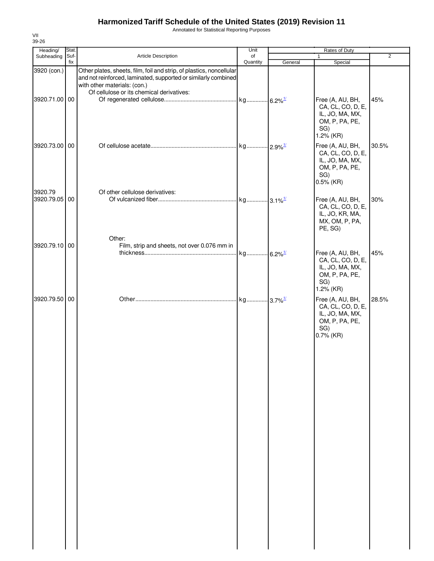Annotated for Statistical Reporting Purposes

| Heading/                 | Stat. |                                                                                                                                                                        | Unit     |         | Rates of Duty                                                                                     |                |
|--------------------------|-------|------------------------------------------------------------------------------------------------------------------------------------------------------------------------|----------|---------|---------------------------------------------------------------------------------------------------|----------------|
| Subheading               | Suf-  | Article Description                                                                                                                                                    | of       |         | $\mathbf{1}$                                                                                      | $\overline{2}$ |
| 3920 (con.)              | fix   | Other plates, sheets, film, foil and strip, of plastics, noncellular<br>and not reinforced, laminated, supported or similarly combined<br>with other materials: (con.) | Quantity | General | Special                                                                                           |                |
| 3920.71.00 00            |       | Of cellulose or its chemical derivatives:                                                                                                                              |          |         | Free (A, AU, BH,<br>CA, CL, CO, D, E,<br>IL, JO, MA, MX,<br>OM, P, PA, PE,<br>SG)<br>1.2% (KR)    | 45%            |
| 3920.73.00 00            |       |                                                                                                                                                                        |          |         | Free (A, AU, BH,<br>CA, CL, CO, D, E,<br>IL, JO, MA, MX,<br>OM, P, PA, PE,<br>SG)<br>$0.5\%$ (KR) | 30.5%          |
| 3920.79<br>3920.79.05 00 |       | Of other cellulose derivatives:<br>Other:                                                                                                                              |          |         | Free (A, AU, BH,<br>CA, CL, CO, D, E,<br>IL, JO, KR, MA,<br>MX, OM, P, PA,<br>PE, SG)             | 30%            |
| 3920.79.10 00            |       | Film, strip and sheets, not over 0.076 mm in                                                                                                                           |          |         | Free (A, AU, BH,<br>CA, CL, CO, D, E,<br>IL, JO, MA, MX,<br>OM, P, PA, PE,<br>SG)<br>1.2% (KR)    | 45%            |
| 3920.79.50 00            |       |                                                                                                                                                                        |          |         | Free (A, AU, BH,<br>CA, CL, CO, D, E,<br>IL, JO, MA, MX,<br>OM, P, PA, PE,<br>SG)<br>0.7% (KR)    | 28.5%          |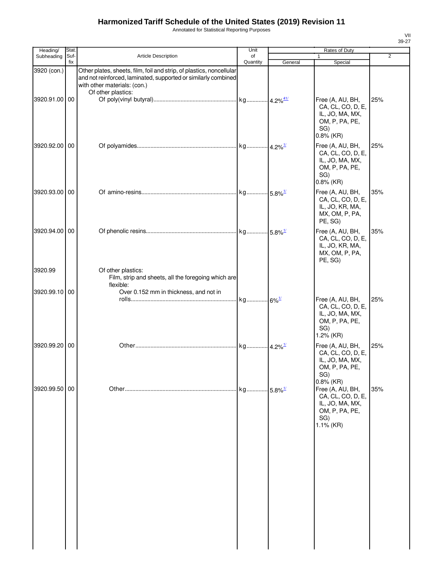Annotated for Statistical Reporting Purposes

Unit Rates of Duty CA, CL, CO, D, E, IL, JO, MA, MX, OM, P, PA, PE, SG) 1 VII 39-27

| Stat. |                                                                                                                            | Unit                             |                                                                                                                                         | Rates of Duty                                                                                                       |                                                         |
|-------|----------------------------------------------------------------------------------------------------------------------------|----------------------------------|-----------------------------------------------------------------------------------------------------------------------------------------|---------------------------------------------------------------------------------------------------------------------|---------------------------------------------------------|
| fix   |                                                                                                                            |                                  |                                                                                                                                         |                                                                                                                     | $\overline{2}$                                          |
|       | Other plates, sheets, film, foil and strip, of plastics, noncellular<br>with other materials: (con.)<br>Of other plastics: |                                  |                                                                                                                                         | Free (A, AU, BH,<br>CA, CL, CO, D, E,                                                                               | 25%                                                     |
|       |                                                                                                                            |                                  |                                                                                                                                         | OM, P, PA, PE,<br>SG)<br>$0.8\%$ (KR)<br>Free (A, AU, BH,<br>CA, CL, CO, D, E,<br>IL, JO, MA, MX,<br>OM, P, PA, PE, | 25%                                                     |
|       |                                                                                                                            |                                  |                                                                                                                                         | SG)<br>$0.8\%$ (KR)<br>Free (A, AU, BH,<br>CA, CL, CO, D, E,<br>IL, JO, KR, MA,<br>MX, OM, P, PA,                   | 35%                                                     |
|       |                                                                                                                            |                                  |                                                                                                                                         | Free (A, AU, BH,<br>CA, CL, CO, D, E,<br>IL, JO, KR, MA,<br>MX, OM, P, PA,<br>PE, SG)                               | 35%                                                     |
|       | Of other plastics:                                                                                                         |                                  |                                                                                                                                         |                                                                                                                     |                                                         |
|       | Over 0.152 mm in thickness, and not in                                                                                     |                                  |                                                                                                                                         | Free (A, AU, BH,<br>CA, CL, CO, D, E,<br>IL, JO, MA, MX,<br>OM, P, PA, PE,<br>SG)                                   | 25%                                                     |
|       |                                                                                                                            |                                  |                                                                                                                                         | Free (A, AU, BH,<br>CA, CL, CO, D, E,<br>IL, JO, MA, MX,<br>OM, P, PA, PE,<br>SG)                                   | 25%                                                     |
| 00    |                                                                                                                            | kg                               | $5.8\%$ <sup>1/</sup>                                                                                                                   | $0.8\%$ (KR)<br>Free (A, AU, BH,<br>CA, CL, CO, D, E,<br>IL, JO, MA, MX,<br>OM, P, PA, PE,<br>SG)<br>1.1% (KR)      | 35%                                                     |
|       | Suf-<br>3920.91.00 00<br>3920.92.00 00<br>3920.93.00 00<br>3920.94.00 00<br>3920.99.10 00<br>3920.99.20 00<br>3920.99.50   | Article Description<br>flexible: | of<br>Quantity<br>and not reinforced, laminated, supported or similarly combined<br>Film, strip and sheets, all the foregoing which are | General                                                                                                             | 1<br>Special<br>IL, JO, MA, MX,<br>PE, SG)<br>1.2% (KR) |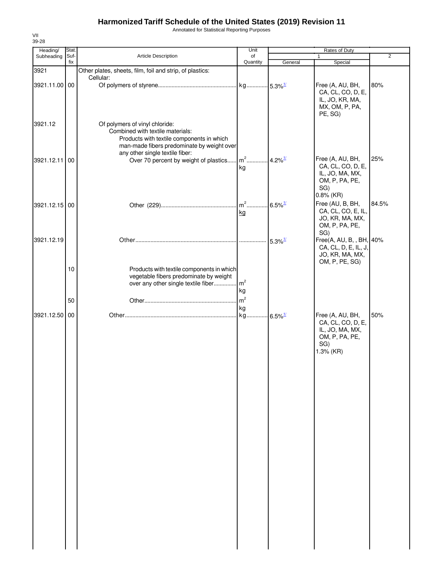Annotated for Statistical Reporting Purposes

| Heading/      | Stat.       |                                                                                                                                                               | Unit                 |                       | Rates of Duty                                                                                     |       |
|---------------|-------------|---------------------------------------------------------------------------------------------------------------------------------------------------------------|----------------------|-----------------------|---------------------------------------------------------------------------------------------------|-------|
| Subheading    | Suf-<br>fix | Article Description                                                                                                                                           | of<br>Quantity       | General               | 1<br>Special                                                                                      | 2     |
| 3921          |             | Other plates, sheets, film, foil and strip, of plastics:                                                                                                      |                      |                       |                                                                                                   |       |
| 3921.11.00 00 |             | Cellular:                                                                                                                                                     |                      |                       | Free (A, AU, BH,<br>CA, CL, CO, D, E,<br>IL, JO, KR, MA,<br>MX, OM, P, PA,<br>PE, SG)             | 80%   |
| 3921.12       |             | Of polymers of vinyl chloride:<br>Combined with textile materials:<br>Products with textile components in which<br>man-made fibers predominate by weight over |                      |                       |                                                                                                   |       |
| 3921.12.11 00 |             | any other single textile fiber:<br>Over 70 percent by weight of plastics                                                                                      | $m2$ .<br>kg         | $4.2\%$ <sup>1/</sup> | Free (A, AU, BH,<br>CA, CL, CO, D, E,<br>IL, JO, MA, MX,<br>OM, P, PA, PE,<br>SG)<br>$0.8\%$ (KR) | 25%   |
| 3921.12.15 00 |             |                                                                                                                                                               | $m^2$<br>kg          | $6.5\%$ <sup>1/</sup> | Free (AU, B, BH,<br>CA, CL, CO, E, IL,<br>JO, KR, MA, MX,<br>OM, P, PA, PE,<br>SG)                | 84.5% |
| 3921.12.19    |             |                                                                                                                                                               |                      | $5.3\%$ <sup>1/</sup> | Free(A, AU, B, , BH, 40%<br>CA, CL, D, E, IL, J,<br>JO, KR, MA, MX,<br>OM, P, PE, SG)             |       |
|               | 10          | Products with textile components in which<br>vegetable fibers predominate by weight<br>over any other single textile fiber                                    | m <sup>2</sup><br>kg |                       |                                                                                                   |       |
|               | 50          |                                                                                                                                                               | m <sup>2</sup>       |                       |                                                                                                   |       |
| 3921.12.50 00 |             |                                                                                                                                                               | kg<br>kg             | $6.5\%$ <sup>1/</sup> | Free (A, AU, BH,<br>CA, CL, CO, D, E,<br>IL, JO, MA, MX,<br>OM, P, PA, PE,<br>SG)<br>1.3% (KR)    | 50%   |
|               |             |                                                                                                                                                               |                      |                       |                                                                                                   |       |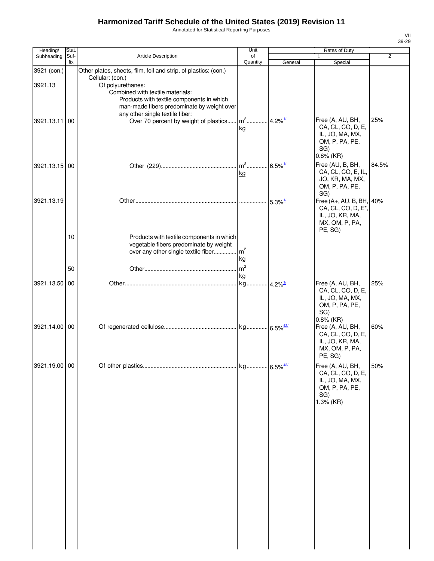Annotated for Statistical Reporting Purposes

| Heading/      | Stat. |                                                                                                                                                                      | Unit                  | Rates of Duty         |                                                                                                             |                |
|---------------|-------|----------------------------------------------------------------------------------------------------------------------------------------------------------------------|-----------------------|-----------------------|-------------------------------------------------------------------------------------------------------------|----------------|
| Subheading    | Suf-  | <b>Article Description</b>                                                                                                                                           | of                    |                       | 1                                                                                                           | $\overline{2}$ |
| 3921 (con.)   | fix   | Other plates, sheets, film, foil and strip, of plastics: (con.)                                                                                                      | Quantity              | General               | Special                                                                                                     |                |
| 3921.13       |       | Cellular: (con.)<br>Of polyurethanes:<br>Combined with textile materials:<br>Products with textile components in which<br>man-made fibers predominate by weight over |                       |                       |                                                                                                             |                |
| 3921.13.11 00 |       | any other single textile fiber:<br>Over 70 percent by weight of plastics                                                                                             | $m2$<br>kg            | $4.2\%$ <sup>1/</sup> | Free (A, AU, BH,<br>CA, CL, CO, D, E,<br>IL, JO, MA, MX,<br>OM, P, PA, PE,<br>SG)                           | 25%            |
| 3921.13.15 00 |       |                                                                                                                                                                      | $m2$<br>kg            | $6.5\%$ <sup>1/</sup> | $0.8\%$ (KR)<br>Free (AU, B, BH,<br>CA, CL, CO, E, IL,<br>JO, KR, MA, MX,<br>OM, P, PA, PE,<br>SG)          | 84.5%          |
| 3921.13.19    |       |                                                                                                                                                                      |                       | $5.3\%$ <sup>1/</sup> | Free (A+, AU, B, BH, 40%<br>CA, CL, CO, D, E <sup>*</sup> ,<br>IL, JO, KR, MA,<br>MX, OM, P, PA,<br>PE, SG) |                |
|               | 10    | Products with textile components in which<br>vegetable fibers predominate by weight<br>over any other single textile fiber                                           | m <sup>2</sup><br>kg  |                       |                                                                                                             |                |
|               | 50    |                                                                                                                                                                      | m <sup>2</sup>        |                       |                                                                                                             |                |
|               |       |                                                                                                                                                                      | kg                    |                       |                                                                                                             |                |
| 3921.13.50 00 |       |                                                                                                                                                                      | kg 4.2% <sup>1/</sup> |                       | Free (A, AU, BH,<br>CA, CL, CO, D, E,<br>IL, JO, MA, MX,<br>OM, P, PA, PE,<br>SG)<br>$0.8\%$ (KR)           | 25%            |
| 3921.14.00 00 |       |                                                                                                                                                                      |                       |                       | Free (A, AU, BH,<br>CA, CL, CO, D, E,<br>IL, JO, KR, MA,<br>MX, OM, P, PA,<br>PE, SG)                       | 60%            |
| 3921.19.00 00 |       |                                                                                                                                                                      |                       |                       | Free (A, AU, BH,<br>CA, CL, CO, D, E,<br>IL, JO, MA, MX,<br>OM, P, PA, PE,<br>SG)<br>1.3% (KR)              | 50%            |
|               |       |                                                                                                                                                                      |                       |                       |                                                                                                             |                |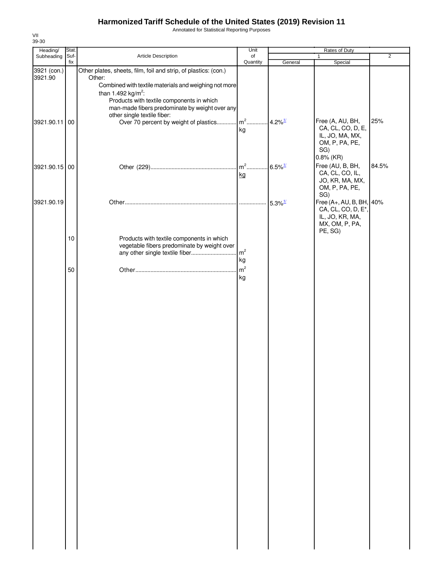Annotated for Statistical Reporting Purposes

| Heading/      | Stat. |                                                                 | Unit           | Rates of Duty          |                          |                |  |
|---------------|-------|-----------------------------------------------------------------|----------------|------------------------|--------------------------|----------------|--|
| Subheading    | Suf-  | Article Description                                             | of             |                        | $\mathbf{1}$             | $\overline{2}$ |  |
|               | fix   |                                                                 | Quantity       | General                | Special                  |                |  |
| 3921 (con.)   |       | Other plates, sheets, film, foil and strip, of plastics: (con.) |                |                        |                          |                |  |
| 3921.90       |       | Other:                                                          |                |                        |                          |                |  |
|               |       | Combined with textile materials and weighing not more           |                |                        |                          |                |  |
|               |       | than 1.492 kg/m <sup>2</sup> :                                  |                |                        |                          |                |  |
|               |       | Products with textile components in which                       |                |                        |                          |                |  |
|               |       | man-made fibers predominate by weight over any                  |                |                        |                          |                |  |
|               |       | other single textile fiber:                                     |                |                        |                          |                |  |
| 3921.90.11 00 |       | Over 70 percent by weight of plastics                           | $m2$           | $4.2\%$ <sup>1/</sup>  | Free (A, AU, BH,         | 25%            |  |
|               |       |                                                                 | kg             |                        | CA, CL, CO, D, E,        |                |  |
|               |       |                                                                 |                |                        | IL, JO, MA, MX,          |                |  |
|               |       |                                                                 |                |                        | OM, P, PA, PE,           |                |  |
|               |       |                                                                 |                |                        | SG)                      |                |  |
|               |       |                                                                 |                |                        | $0.8\%$ (KR)             |                |  |
|               |       |                                                                 |                |                        |                          |                |  |
| 3921.90.15 00 |       |                                                                 |                | $.6.5\%$ <sup>1/</sup> | Free (AU, B, BH,         | 84.5%          |  |
|               |       |                                                                 | kg             |                        | CA, CL, CO, IL,          |                |  |
|               |       |                                                                 |                |                        | JO, KR, MA, MX,          |                |  |
|               |       |                                                                 |                |                        | OM, P, PA, PE,           |                |  |
|               |       |                                                                 |                |                        | SG)                      |                |  |
| 3921.90.19    |       |                                                                 |                | $5.3\%$ <sup>1/</sup>  | Free (A+, AU, B, BH, 40% |                |  |
|               |       |                                                                 |                |                        | CA, CL, CO, D, E*,       |                |  |
|               |       |                                                                 |                |                        | IL, JO, KR, MA,          |                |  |
|               |       |                                                                 |                |                        | MX, OM, P, PA,           |                |  |
|               |       |                                                                 |                |                        | PE, SG)                  |                |  |
|               | 10    | Products with textile components in which                       |                |                        |                          |                |  |
|               |       | vegetable fibers predominate by weight over                     |                |                        |                          |                |  |
|               |       | any other single textile fiber                                  | m <sup>2</sup> |                        |                          |                |  |
|               |       |                                                                 | kg             |                        |                          |                |  |
|               |       |                                                                 |                |                        |                          |                |  |
|               | 50    |                                                                 | m <sup>2</sup> |                        |                          |                |  |
|               |       |                                                                 | kg             |                        |                          |                |  |
|               |       |                                                                 |                |                        |                          |                |  |
|               |       |                                                                 |                |                        |                          |                |  |
|               |       |                                                                 |                |                        |                          |                |  |
|               |       |                                                                 |                |                        |                          |                |  |
|               |       |                                                                 |                |                        |                          |                |  |
|               |       |                                                                 |                |                        |                          |                |  |
|               |       |                                                                 |                |                        |                          |                |  |
|               |       |                                                                 |                |                        |                          |                |  |
|               |       |                                                                 |                |                        |                          |                |  |
|               |       |                                                                 |                |                        |                          |                |  |
|               |       |                                                                 |                |                        |                          |                |  |
|               |       |                                                                 |                |                        |                          |                |  |
|               |       |                                                                 |                |                        |                          |                |  |
|               |       |                                                                 |                |                        |                          |                |  |
|               |       |                                                                 |                |                        |                          |                |  |
|               |       |                                                                 |                |                        |                          |                |  |
|               |       |                                                                 |                |                        |                          |                |  |
|               |       |                                                                 |                |                        |                          |                |  |
|               |       |                                                                 |                |                        |                          |                |  |
|               |       |                                                                 |                |                        |                          |                |  |
|               |       |                                                                 |                |                        |                          |                |  |
|               |       |                                                                 |                |                        |                          |                |  |
|               |       |                                                                 |                |                        |                          |                |  |
|               |       |                                                                 |                |                        |                          |                |  |
|               |       |                                                                 |                |                        |                          |                |  |
|               |       |                                                                 |                |                        |                          |                |  |
|               |       |                                                                 |                |                        |                          |                |  |
|               |       |                                                                 |                |                        |                          |                |  |
|               |       |                                                                 |                |                        |                          |                |  |
|               |       |                                                                 |                |                        |                          |                |  |
|               |       |                                                                 |                |                        |                          |                |  |
|               |       |                                                                 |                |                        |                          |                |  |
|               |       |                                                                 |                |                        |                          |                |  |
|               |       |                                                                 |                |                        |                          |                |  |
|               |       |                                                                 |                |                        |                          |                |  |
|               |       |                                                                 |                |                        |                          |                |  |
|               |       |                                                                 |                |                        |                          |                |  |
|               |       |                                                                 |                |                        |                          |                |  |
|               |       |                                                                 |                |                        |                          |                |  |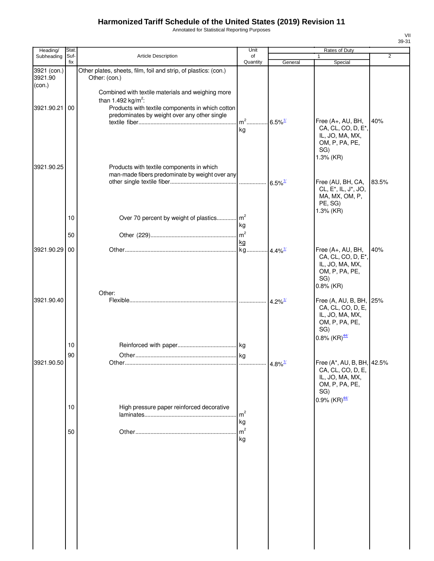Annotated for Statistical Reporting Purposes

| Heading/               | Stat.    |                                                                                                                                                          | Unit                                   |                       | Rates of Duty                                                                                                               |                |
|------------------------|----------|----------------------------------------------------------------------------------------------------------------------------------------------------------|----------------------------------------|-----------------------|-----------------------------------------------------------------------------------------------------------------------------|----------------|
| Subheading             | Suf-     | <b>Article Description</b>                                                                                                                               | of                                     |                       | 1                                                                                                                           | $\overline{2}$ |
| 3921 (con.)<br>3921.90 | fix      | Other plates, sheets, film, foil and strip, of plastics: (con.)                                                                                          | Quantity                               | General               | Special                                                                                                                     |                |
| (con.)<br>3921.90.21   | 00       | Other: (con.)<br>Combined with textile materials and weighing more<br>than 1.492 kg/m <sup>2</sup> :<br>Products with textile components in which cotton |                                        |                       |                                                                                                                             |                |
| 3921.90.25             |          | predominates by weight over any other single<br>Products with textile components in which                                                                | $m2$ .<br>kg                           | $6.5\%$ <sup>1/</sup> | Free (A+, AU, BH,<br>CA, CL, CO, D, E*,<br>IL, JO, MA, MX,<br>OM, P, PA, PE,<br>SG)<br>1.3% (KR)                            | 40%            |
|                        |          | man-made fibers predominate by weight over any                                                                                                           |                                        | $6.5\%$ <sup>1/</sup> | Free (AU, BH, CA,<br>CL, E <sup>*</sup> , IL, J <sup>*</sup> , JO,<br>MA, MX, OM, P,<br>PE, SG)<br>1.3% (KR)                | 83.5%          |
|                        | 10<br>50 | Over 70 percent by weight of plastics                                                                                                                    | m <sup>2</sup><br>kg<br>m <sup>2</sup> |                       |                                                                                                                             |                |
|                        |          |                                                                                                                                                          | kg                                     |                       |                                                                                                                             |                |
| 3921.90.29 00          |          |                                                                                                                                                          | kg                                     | $4.4\%$ <sup>1/</sup> | Free (A+, AU, BH,<br>CA, CL, CO, D, E*,<br>IL, JO, MA, MX,<br>OM, P, PA, PE,<br>SG)<br>$0.8\%$ (KR)                         | 40%            |
| 3921.90.40             |          | Other:                                                                                                                                                   |                                        | $4.2\%$ <sup>1/</sup> | Free (A, AU, B, BH, 25%<br>CA, CL, CO, D, E,                                                                                |                |
|                        | 10       |                                                                                                                                                          |                                        |                       | IL, JO, MA, MX,<br>OM, P, PA, PE,<br>SG)<br>0.8% $(KR)$ <sup>44/</sup>                                                      |                |
|                        | 90       |                                                                                                                                                          |                                        |                       |                                                                                                                             |                |
| 3921.90.50             |          |                                                                                                                                                          |                                        |                       | Free (A*, AU, B, BH, 42.5%<br>CA, CL, CO, D, E,<br>IL, JO, MA, MX,<br>OM, P, PA, PE,<br>SG)<br>$0.9\%$ (KR) $\frac{44/}{3}$ |                |
|                        | 10       | High pressure paper reinforced decorative                                                                                                                | m <sup>2</sup><br>kg                   |                       |                                                                                                                             |                |
|                        | 50       |                                                                                                                                                          | m <sup>2</sup><br>kg                   |                       |                                                                                                                             |                |
|                        |          |                                                                                                                                                          |                                        |                       |                                                                                                                             |                |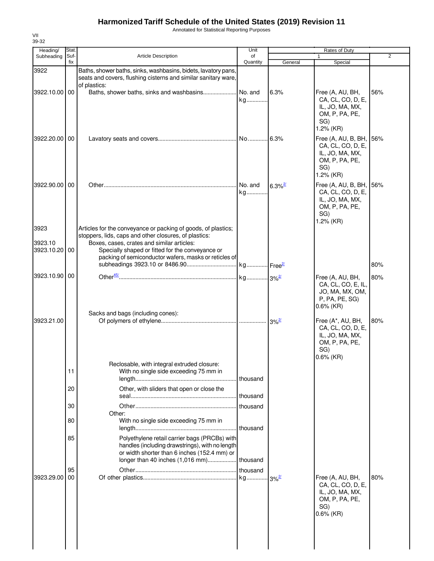Annotated for Statistical Reporting Purposes

| Heading/        | Stat.       |                                                                                                                                                                      | Unit           |                       | Rates of Duty                                                                                                     |                |
|-----------------|-------------|----------------------------------------------------------------------------------------------------------------------------------------------------------------------|----------------|-----------------------|-------------------------------------------------------------------------------------------------------------------|----------------|
| Subheading      | Suf-<br>fix | <b>Article Description</b>                                                                                                                                           | of<br>Quantity | General               | $\mathbf{1}$<br>Special                                                                                           | $\overline{2}$ |
| 3922            |             | Baths, shower baths, sinks, washbasins, bidets, lavatory pans,<br>seats and covers, flushing cisterns and similar sanitary ware,<br>of plastics:                     |                |                       |                                                                                                                   |                |
| 3922.10.00 00   |             |                                                                                                                                                                      | kg             | 6.3%                  | Free (A, AU, BH,<br>CA, CL, CO, D, E,<br>IL, JO, MA, MX,<br>OM, P, PA, PE,<br>SG)<br>$1.2%$ (KR)                  | 56%            |
| 3922.20.00 00   |             |                                                                                                                                                                      |                |                       | Free (A, AU, B, BH, 56%<br>CA, CL, CO, D, E,<br>IL, JO, MA, MX,<br>OM, P, PA, PE,<br>SG)<br>$1.2%$ (KR)           |                |
| 3922.90.00   00 |             |                                                                                                                                                                      | No. and<br>kg  | $6.3\%$ <sup>2/</sup> | Free (A, AU, B, BH, 56%<br>CA, CL, CO, D, E,<br>IL, JO, MA, MX,<br>OM, P, PA, PE,<br>SG)<br>$1.2%$ (KR)           |                |
| 3923<br>3923.10 |             | Articles for the conveyance or packing of goods, of plastics;<br>stoppers, lids, caps and other closures, of plastics:<br>Boxes, cases, crates and similar articles: |                |                       |                                                                                                                   |                |
| 3923.10.20 00   |             | Specially shaped or fitted for the conveyance or<br>packing of semiconductor wafers, masks or reticles of                                                            |                |                       |                                                                                                                   | 80%            |
| 3923.10.90 00   |             |                                                                                                                                                                      |                |                       | Free (A, AU, BH,                                                                                                  | 80%            |
| 3923.21.00      |             | Sacks and bags (including cones):                                                                                                                                    |                | $3\%$ <sup>2/</sup>   | CA, CL, CO, E, IL,<br>JO, MA, MX, OM,<br>P, PA, PE, SG)<br>$0.6\%$ (KR)<br>Free (A*, AU, BH,<br>CA, CL, CO, D, E, | 80%            |
|                 |             |                                                                                                                                                                      |                |                       | IL, JO, MA, MX,<br>OM, P, PA, PE,<br>SG)<br>$0.6\%$ (KR)                                                          |                |
|                 | 11          | Reclosable, with integral extruded closure:<br>With no single side exceeding 75 mm in                                                                                | thousand       |                       |                                                                                                                   |                |
|                 | 20          | Other, with sliders that open or close the                                                                                                                           | thousand       |                       |                                                                                                                   |                |
|                 | 30          |                                                                                                                                                                      | thousand       |                       |                                                                                                                   |                |
|                 | 80          | Other:<br>With no single side exceeding 75 mm in                                                                                                                     | thousand       |                       |                                                                                                                   |                |
|                 | 85          | Polyethylene retail carrier bags (PRCBs) with<br>handles (including drawstrings), with no length<br>or width shorter than 6 inches (152.4 mm) or                     |                |                       |                                                                                                                   |                |
|                 |             |                                                                                                                                                                      |                |                       |                                                                                                                   |                |
| 3923.29.00      | 95<br>00    |                                                                                                                                                                      |                |                       | Free (A, AU, BH,<br>CA, CL, CO, D, E,<br>IL, JO, MA, MX,<br>OM, P, PA, PE,<br>SG)<br>$0.6\%$ (KR)                 | 80%            |
|                 |             |                                                                                                                                                                      |                |                       |                                                                                                                   |                |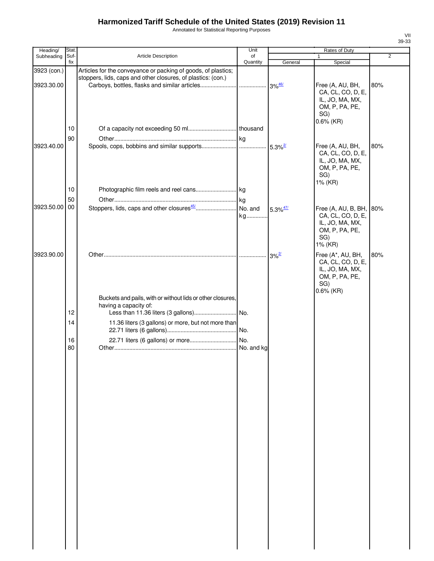Annotated for Statistical Reporting Purposes

| Heading/                  | Stat.       |                                                                                                                               | Unit           |                        | Rates of Duty                                                                                      |                |
|---------------------------|-------------|-------------------------------------------------------------------------------------------------------------------------------|----------------|------------------------|----------------------------------------------------------------------------------------------------|----------------|
| Subheading                | Suf-<br>fix | Article Description                                                                                                           | of<br>Quantity |                        | 1                                                                                                  | $\overline{2}$ |
| 3923 (con.)<br>3923.30.00 |             | Articles for the conveyance or packing of goods, of plastics;<br>stoppers, lids, caps and other closures, of plastics: (con.) |                | General                | Special<br>Free (A, AU, BH,<br>CA, CL, CO, D, E,<br>IL, JO, MA, MX,<br>OM, P, PA, PE,<br>SG)       | 80%            |
|                           | 10<br>90    |                                                                                                                               |                |                        | $0.6\%$ (KR)                                                                                       |                |
| 3923.40.00                |             |                                                                                                                               |                |                        | Free (A, AU, BH,<br>CA, CL, CO, D, E,<br>IL, JO, MA, MX,<br>OM, P, PA, PE,<br>SG)<br>1% (KR)       | 80%            |
|                           | 10          |                                                                                                                               |                |                        |                                                                                                    |                |
|                           | 50          |                                                                                                                               |                |                        |                                                                                                    |                |
| 3923.50.00 00             |             |                                                                                                                               | kg             | $5.3\%$ <sup>47/</sup> | Free $(A, AU, B, BH,$<br>CA, CL, CO, D, E,<br>IL, JO, MA, MX,<br>OM, P, PA, PE,<br>SG)<br>1% (KR)  | 80%            |
| 3923.90.00                |             | Buckets and pails, with or without lids or other closures,                                                                    |                | $3\%$ <sup>2/</sup>    | Free (A*, AU, BH,<br>CA, CL, CO, D, E,<br>IL, JO, MA, MX,<br>OM, P, PA, PE,<br>SG)<br>$0.6\%$ (KR) | 80%            |
|                           |             | having a capacity of:                                                                                                         |                |                        |                                                                                                    |                |
|                           | 12          |                                                                                                                               |                |                        |                                                                                                    |                |
|                           | 14          | 11.36 liters (3 gallons) or more, but not more than                                                                           |                |                        |                                                                                                    |                |
|                           | 16          |                                                                                                                               |                |                        |                                                                                                    |                |
|                           | 80          |                                                                                                                               | No. and kg     |                        |                                                                                                    |                |
|                           |             |                                                                                                                               |                |                        |                                                                                                    |                |
|                           |             |                                                                                                                               |                |                        |                                                                                                    |                |
|                           |             |                                                                                                                               |                |                        |                                                                                                    |                |
|                           |             |                                                                                                                               |                |                        |                                                                                                    |                |
|                           |             |                                                                                                                               |                |                        |                                                                                                    |                |
|                           |             |                                                                                                                               |                |                        |                                                                                                    |                |
|                           |             |                                                                                                                               |                |                        |                                                                                                    |                |
|                           |             |                                                                                                                               |                |                        |                                                                                                    |                |
|                           |             |                                                                                                                               |                |                        |                                                                                                    |                |
|                           |             |                                                                                                                               |                |                        |                                                                                                    |                |
|                           |             |                                                                                                                               |                |                        |                                                                                                    |                |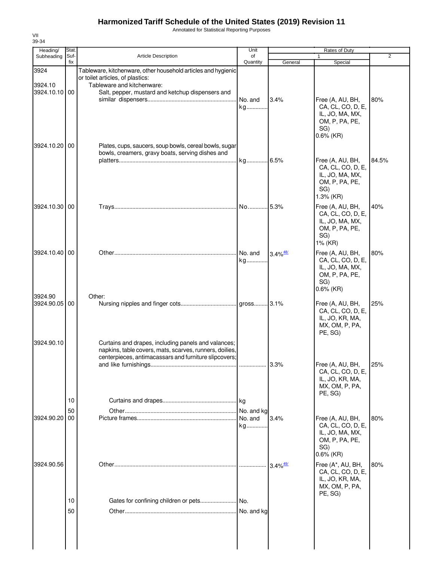Annotated for Statistical Reporting Purposes

| Heading/                 | Stat.       |                                                                                                                                                                         | Unit             |                        | Rates of Duty                                                                                                |       |
|--------------------------|-------------|-------------------------------------------------------------------------------------------------------------------------------------------------------------------------|------------------|------------------------|--------------------------------------------------------------------------------------------------------------|-------|
| Subheading               | Suf-<br>fix | <b>Article Description</b>                                                                                                                                              | of<br>Quantity   | General                | Special                                                                                                      | 2     |
| 3924                     |             | Tableware, kitchenware, other household articles and hygienic<br>or toilet articles, of plastics:                                                                       |                  |                        |                                                                                                              |       |
| 3924.10<br>3924.10.10 00 |             | Tableware and kitchenware:<br>Salt, pepper, mustard and ketchup dispensers and                                                                                          | No. and<br>kg    | 3.4%                   | Free (A, AU, BH,<br>CA, CL, CO, D, E,<br>IL, JO, MA, MX,<br>OM, P, PA, PE,<br>SG)                            | 80%   |
| 3924.10.20 00            |             | Plates, cups, saucers, soup bowls, cereal bowls, sugar<br>bowls, creamers, gravy boats, serving dishes and                                                              | kg 6.5%          |                        | $0.6\%$ (KR)<br>Free (A, AU, BH,<br>CA, CL, CO, D, E,<br>IL, JO, MA, MX,<br>OM, P, PA, PE,                   | 84.5% |
| 3924.10.30 00            |             |                                                                                                                                                                         | .l No………….l 5.3% |                        | SG)<br>1.3% (KR)<br>Free (A, AU, BH,<br>CA, CL, CO, D, E,<br>IL, JO, MA, MX,<br>OM, P, PA, PE,<br>SG)        | 40%   |
| 3924.10.40 00            |             |                                                                                                                                                                         | No. and<br>kg    | $3.4\%$ <sup>48/</sup> | 1% (KR)<br>Free (A, AU, BH,<br>CA, CL, CO, D, E,<br>IL, JO, MA, MX,<br>OM, P, PA, PE,<br>SG)<br>$0.6\%$ (KR) | 80%   |
| 3924.90<br>3924.90.05 00 |             | Other:                                                                                                                                                                  |                  |                        | Free (A, AU, BH,<br>CA, CL, CO, D, E,<br>IL, JO, KR, MA,<br>MX, OM, P, PA,<br>PE, SG)                        | 25%   |
| 3924.90.10               |             | Curtains and drapes, including panels and valances;<br>napkins, table covers, mats, scarves, runners, doilies,<br>centerpieces, antimacassars and furniture slipcovers; |                  | $13.3\%$               | Free (A, AU, BH,<br>CA, CL, CO, D, E,<br>IL, JO, KR, MA,<br>MX, OM, P, PA,<br>PE, SG)                        | 25%   |
|                          | 10<br>50    |                                                                                                                                                                         | No. and kg       |                        |                                                                                                              |       |
| 3924.90.20               | 00          |                                                                                                                                                                         | No. and<br>kg    | 3.4%                   | Free (A, AU, BH,<br>CA, CL, CO, D, E,<br>IL, JO, MA, MX,<br>OM, P, PA, PE,<br>SG)<br>$0.6\%$ (KR)            | 80%   |
| 3924.90.56               |             |                                                                                                                                                                         |                  | $3.4\%$ <sup>49/</sup> | Free (A*, AU, BH,<br>CA, CL, CO, D, E,<br>IL, JO, KR, MA,<br>MX, OM, P, PA,<br>PE, SG)                       | 80%   |
|                          | 10<br>50    |                                                                                                                                                                         | No. and kg       |                        |                                                                                                              |       |
|                          |             |                                                                                                                                                                         |                  |                        |                                                                                                              |       |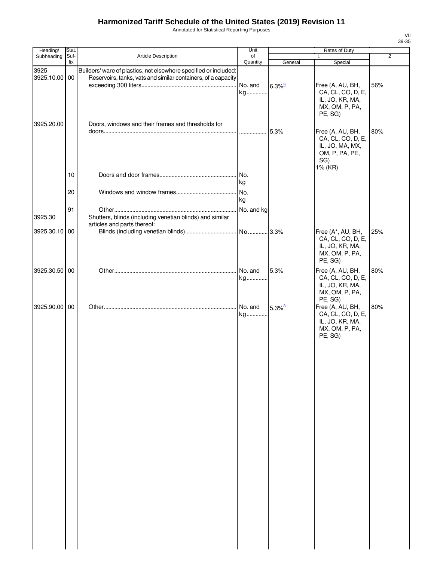Annotated for Statistical Reporting Purposes

| Heading/      | Stat.       |                                                                  | Unit           |                       | Rates of Duty     |                |
|---------------|-------------|------------------------------------------------------------------|----------------|-----------------------|-------------------|----------------|
| Subheading    | Suf-<br>fix | Article Description                                              | of<br>Quantity | General               | 1<br>Special      | $\overline{2}$ |
| 3925          |             | Builders' ware of plastics, not elsewhere specified or included: |                |                       |                   |                |
| 3925.10.00 00 |             | Reservoirs, tanks, vats and similar containers, of a capacity    |                |                       |                   |                |
|               |             |                                                                  | No. and        | $6.3\%$ <sup>2/</sup> | Free (A, AU, BH,  | 56%            |
|               |             |                                                                  | kg             |                       | CA, CL, CO, D, E, |                |
|               |             |                                                                  |                |                       | IL, JO, KR, MA,   |                |
|               |             |                                                                  |                |                       | MX, OM, P, PA,    |                |
|               |             |                                                                  |                |                       | PE, SG)           |                |
| 3925.20.00    |             | Doors, windows and their frames and thresholds for               |                |                       |                   |                |
|               |             |                                                                  |                |                       | Free (A, AU, BH,  | 80%            |
|               |             |                                                                  |                |                       | CA, CL, CO, D, E, |                |
|               |             |                                                                  |                |                       | IL, JO, MA, MX,   |                |
|               |             |                                                                  |                |                       | OM, P, PA, PE,    |                |
|               |             |                                                                  |                |                       | SG)               |                |
|               |             |                                                                  |                |                       | 1% (KR)           |                |
|               | 10          |                                                                  |                |                       |                   |                |
|               |             |                                                                  | kg             |                       |                   |                |
|               | 20          |                                                                  | No.            |                       |                   |                |
|               |             |                                                                  | kg             |                       |                   |                |
|               | 91          |                                                                  | No. and kg     |                       |                   |                |
| 3925.30       |             | Shutters, blinds (including venetian blinds) and similar         |                |                       |                   |                |
|               |             | articles and parts thereof:                                      |                |                       |                   |                |
| 3925.30.10 00 |             |                                                                  |                |                       | Free (A*, AU, BH, | 25%            |
|               |             |                                                                  |                |                       | CA, CL, CO, D, E, |                |
|               |             |                                                                  |                |                       | IL, JO, KR, MA,   |                |
|               |             |                                                                  |                |                       | MX, OM, P, PA,    |                |
|               |             |                                                                  |                |                       | PE, SG)           |                |
| 3925.30.50 00 |             |                                                                  | No. and        | 5.3%                  | Free (A, AU, BH,  | 80%            |
|               |             |                                                                  | kg             |                       | CA, CL, CO, D, E, |                |
|               |             |                                                                  |                |                       | IL, JO, KR, MA,   |                |
|               |             |                                                                  |                |                       | MX, OM, P, PA,    |                |
|               |             |                                                                  |                |                       | PE, SG)           |                |
| 3925.90.00 00 |             |                                                                  | No. and        | $5.3\%$ <sup>2/</sup> | Free (A, AU, BH,  | 80%            |
|               |             |                                                                  | kg             |                       | CA, CL, CO, D, E, |                |
|               |             |                                                                  |                |                       | IL, JO, KR, MA,   |                |
|               |             |                                                                  |                |                       | MX, OM, P, PA,    |                |
|               |             |                                                                  |                |                       | PE, SG)           |                |
|               |             |                                                                  |                |                       |                   |                |
|               |             |                                                                  |                |                       |                   |                |
|               |             |                                                                  |                |                       |                   |                |
|               |             |                                                                  |                |                       |                   |                |
|               |             |                                                                  |                |                       |                   |                |
|               |             |                                                                  |                |                       |                   |                |
|               |             |                                                                  |                |                       |                   |                |
|               |             |                                                                  |                |                       |                   |                |
|               |             |                                                                  |                |                       |                   |                |
|               |             |                                                                  |                |                       |                   |                |
|               |             |                                                                  |                |                       |                   |                |
|               |             |                                                                  |                |                       |                   |                |
|               |             |                                                                  |                |                       |                   |                |
|               |             |                                                                  |                |                       |                   |                |
|               |             |                                                                  |                |                       |                   |                |
|               |             |                                                                  |                |                       |                   |                |
|               |             |                                                                  |                |                       |                   |                |
|               |             |                                                                  |                |                       |                   |                |
|               |             |                                                                  |                |                       |                   |                |
|               |             |                                                                  |                |                       |                   |                |
|               |             |                                                                  |                |                       |                   |                |
|               |             |                                                                  |                |                       |                   |                |
|               |             |                                                                  |                |                       |                   |                |
|               |             |                                                                  |                |                       |                   |                |
|               |             |                                                                  |                |                       |                   |                |
|               |             |                                                                  |                |                       |                   |                |
|               |             |                                                                  |                |                       |                   |                |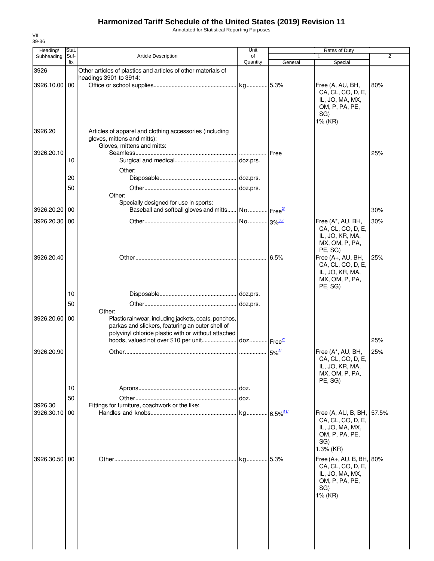Annotated for Statistical Reporting Purposes

| Stat             |                                                                                        | Unit                                                                                                                                 |                                                                                                                           | Rates of Duty                                                                                     | 2                                                                                          |
|------------------|----------------------------------------------------------------------------------------|--------------------------------------------------------------------------------------------------------------------------------------|---------------------------------------------------------------------------------------------------------------------------|---------------------------------------------------------------------------------------------------|--------------------------------------------------------------------------------------------|
| fix              |                                                                                        | Quantity                                                                                                                             | General                                                                                                                   | Special                                                                                           |                                                                                            |
|                  | Other articles of plastics and articles of other materials of                          |                                                                                                                                      |                                                                                                                           |                                                                                                   |                                                                                            |
| 3926.10.00 00    |                                                                                        |                                                                                                                                      |                                                                                                                           | Free (A, AU, BH,<br>CA, CL, CO, D, E,<br>IL, JO, MA, MX,<br>OM, P, PA, PE,                        | 80%                                                                                        |
|                  |                                                                                        |                                                                                                                                      |                                                                                                                           | 1% (KR)                                                                                           |                                                                                            |
|                  | Articles of apparel and clothing accessories (including<br>gloves, mittens and mitts): |                                                                                                                                      |                                                                                                                           |                                                                                                   |                                                                                            |
| 10               |                                                                                        |                                                                                                                                      | Free                                                                                                                      |                                                                                                   | 25%                                                                                        |
| 20               | Other:                                                                                 |                                                                                                                                      |                                                                                                                           |                                                                                                   |                                                                                            |
|                  |                                                                                        |                                                                                                                                      |                                                                                                                           |                                                                                                   |                                                                                            |
|                  | Other:<br>Specially designed for use in sports:                                        |                                                                                                                                      |                                                                                                                           |                                                                                                   |                                                                                            |
| 3926.20.20 00    |                                                                                        |                                                                                                                                      |                                                                                                                           |                                                                                                   | 30%                                                                                        |
| 3926.20.30 00    |                                                                                        |                                                                                                                                      |                                                                                                                           | Free (A*, AU, BH,<br>CA, CL, CO, D, E,<br>IL, JO, KR, MA,<br>MX, OM, P, PA,                       | 30%                                                                                        |
|                  |                                                                                        |                                                                                                                                      |                                                                                                                           | Free (A+, AU, BH,<br>CA, CL, CO, D, E,<br>IL, JO, KR, MA,<br>MX, OM, P, PA,                       | 25%                                                                                        |
| 10               |                                                                                        |                                                                                                                                      |                                                                                                                           |                                                                                                   |                                                                                            |
| 50               |                                                                                        |                                                                                                                                      |                                                                                                                           |                                                                                                   |                                                                                            |
| 3926.20.60<br>00 | Other:<br>parkas and slickers, featuring an outer shell of                             |                                                                                                                                      |                                                                                                                           |                                                                                                   | 25%                                                                                        |
|                  |                                                                                        |                                                                                                                                      |                                                                                                                           |                                                                                                   | 25%                                                                                        |
|                  |                                                                                        |                                                                                                                                      |                                                                                                                           | CA, CL, CO, D, E,<br>IL, JO, KR, MA,<br>MX, OM, P, PA,<br>PE, SG)                                 |                                                                                            |
|                  |                                                                                        |                                                                                                                                      |                                                                                                                           |                                                                                                   |                                                                                            |
|                  |                                                                                        |                                                                                                                                      |                                                                                                                           |                                                                                                   |                                                                                            |
| 3926.30.10 00    |                                                                                        |                                                                                                                                      |                                                                                                                           | Free (A, AU, B, BH,<br>CA, CL, CO, D, E,<br>IL, JO, MA, MX,<br>OM, P, PA, PE,<br>SG)<br>1.3% (KR) | 57.5%                                                                                      |
| 3926.30.50 00    |                                                                                        |                                                                                                                                      |                                                                                                                           | CA, CL, CO, D, E,<br>IL, JO, MA, MX,<br>OM, P, PA, PE,<br>SG)                                     |                                                                                            |
|                  | Suf-<br>50<br>10<br>50                                                                 | <b>Article Description</b><br>headings 3901 to 3914:<br>Gloves, mittens and mitts:<br>Fittings for furniture, coachwork or the like: | of<br>Plastic rainwear, including jackets, coats, ponchos,<br>polyvinyl chloride plastic with or without attached<br>doz. | Baseball and softball gloves and mitts No Free <sup>21</sup><br>6.5%                              | $\mathbf{1}$<br>SG)<br>PE, SG)<br>PE, SG)<br>Free (A*, AU, BH,<br>Free (A+, AU, B, BH, 80% |

VII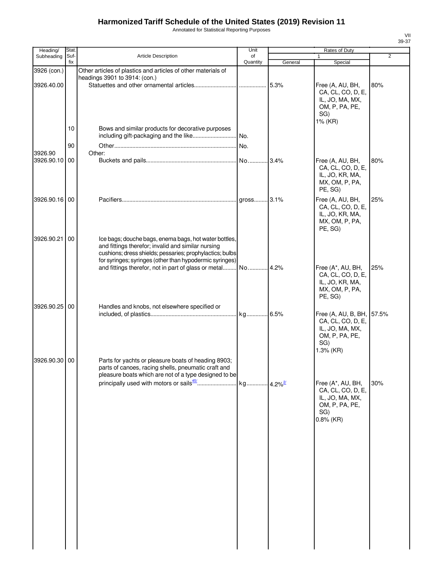Annotated for Statistical Reporting Purposes

| Heading/      | Stat.       |                                                                                                                                                                                                                                    | Unit     |         | Rates of Duty                                                                                           |                |
|---------------|-------------|------------------------------------------------------------------------------------------------------------------------------------------------------------------------------------------------------------------------------------|----------|---------|---------------------------------------------------------------------------------------------------------|----------------|
| Subheading    | Suf-<br>fix | Article Description                                                                                                                                                                                                                | of       |         | 1                                                                                                       | $\overline{2}$ |
| 3926 (con.)   |             | Other articles of plastics and articles of other materials of<br>headings 3901 to 3914: (con.)                                                                                                                                     | Quantity | General | Special                                                                                                 |                |
| 3926.40.00    |             |                                                                                                                                                                                                                                    |          | 5.3%    | Free (A, AU, BH,<br>CA, CL, CO, D, E,<br>IL, JO, MA, MX,<br>OM, P, PA, PE,<br>SG)<br>1% (KR)            | 80%            |
|               | 10          | Bows and similar products for decorative purposes<br>including gift-packaging and the like                                                                                                                                         | No.      |         |                                                                                                         |                |
| 3926.90       | 90          | Other:                                                                                                                                                                                                                             |          |         |                                                                                                         |                |
| 3926.90.10 00 |             |                                                                                                                                                                                                                                    |          |         | Free (A, AU, BH,<br>CA, CL, CO, D, E,<br>IL, JO, KR, MA,<br>MX, OM, P, PA,<br>PE, SG)                   | 80%            |
| 3926.90.16 00 |             |                                                                                                                                                                                                                                    |          |         | Free (A, AU, BH,<br>CA, CL, CO, D, E,<br>IL, JO, KR, MA,<br>MX, OM, P, PA,<br>PE, SG)                   | 25%            |
| 3926.90.21    | 00          | Ice bags; douche bags, enema bags, hot water bottles,<br>and fittings therefor; invalid and similar nursing<br>cushions; dress shields; pessaries; prophylactics; bulbs<br>for syringes; syringes (other than hypodermic syringes) |          |         | Free (A*, AU, BH,                                                                                       | 25%            |
|               |             |                                                                                                                                                                                                                                    |          |         | CA, CL, CO, D, E,<br>IL, JO, KR, MA,<br>MX, OM, P, PA,<br>PE, SG)                                       |                |
| 3926.90.25    | 00          | Handles and knobs, not elsewhere specified or                                                                                                                                                                                      |          |         | Free (A, AU, B, BH, 57.5%<br>CA, CL, CO, D, E,<br>IL, JO, MA, MX,<br>OM, P, PA, PE,<br>SG)<br>1.3% (KR) |                |
| 3926.90.30 00 |             | Parts for yachts or pleasure boats of heading 8903;<br>parts of canoes, racing shells, pneumatic craft and<br>pleasure boats which are not of a type designed to be                                                                |          |         |                                                                                                         |                |
|               |             |                                                                                                                                                                                                                                    |          |         | Free (A*, AU, BH,<br>CA, CL, CO, D, E,<br>IL, JO, MA, MX,<br>OM, P, PA, PE,<br>SG)<br>$0.8\%$ (KR)      | 30%            |
|               |             |                                                                                                                                                                                                                                    |          |         |                                                                                                         |                |
|               |             |                                                                                                                                                                                                                                    |          |         |                                                                                                         |                |
|               |             |                                                                                                                                                                                                                                    |          |         |                                                                                                         |                |
|               |             |                                                                                                                                                                                                                                    |          |         |                                                                                                         |                |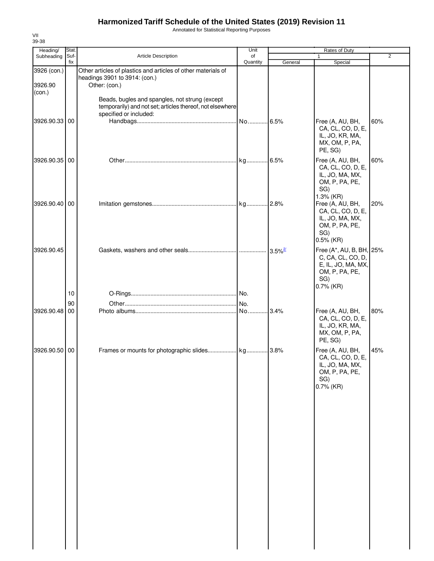Annotated for Statistical Reporting Purposes

| Heading/               | Stat.       |                                                                                                                                       | Unit           |         | Rates of Duty                                                                                             |                |
|------------------------|-------------|---------------------------------------------------------------------------------------------------------------------------------------|----------------|---------|-----------------------------------------------------------------------------------------------------------|----------------|
| Subheading             | Suf-<br>fix | <b>Article Description</b>                                                                                                            | of<br>Quantity | General | Special                                                                                                   | $\overline{2}$ |
| 3926 (con.)<br>3926.90 |             | Other articles of plastics and articles of other materials of<br>headings 3901 to 3914: (con.)<br>Other: (con.)                       |                |         |                                                                                                           |                |
| (con.)                 |             | Beads, bugles and spangles, not strung (except<br>temporarily) and not set; articles thereof, not elsewhere<br>specified or included: |                |         |                                                                                                           |                |
| 3926.90.33 00          |             |                                                                                                                                       |                | .6.5%   | Free (A, AU, BH,<br>CA, CL, CO, D, E,<br>IL, JO, KR, MA,<br>MX, OM, P, PA,<br>PE, SG)                     | 60%            |
| 3926.90.35 00          |             |                                                                                                                                       |                |         | Free (A, AU, BH,<br>CA, CL, CO, D, E,<br>IL, JO, MA, MX,<br>OM, P, PA, PE,<br>SG)<br>1.3% (KR)            | 60%            |
| 3926.90.40 00          |             |                                                                                                                                       |                |         | Free (A, AU, BH,<br>CA, CL, CO, D, E,<br>IL, JO, MA, MX,<br>OM, P, PA, PE,<br>SG)<br>$0.5\%$ (KR)         | 20%            |
| 3926.90.45             |             |                                                                                                                                       |                |         | Free (A*, AU, B, BH, 25%<br>C, CA, CL, CO, D,<br>E, IL, JO, MA, MX,<br>OM, P, PA, PE,<br>SG)<br>0.7% (KR) |                |
|                        | 10          |                                                                                                                                       |                |         |                                                                                                           |                |
|                        | 90          |                                                                                                                                       |                |         |                                                                                                           |                |
| 3926.90.48 00          |             |                                                                                                                                       | No             | .3.4%   | Free (A, AU, BH,<br>CA, CL, CO, D, E,<br>IL, JO, KR, MA,<br>MX, OM, P, PA,<br>PE, SG)                     | 80%            |
| 3926.90.50 00          |             |                                                                                                                                       |                |         | Free (A, AU, BH,<br>CA, CL, CO, D, E,<br>IL, JO, MA, MX,<br>OM, P, PA, PE,<br>SG)<br>$0.7\%$ (KR)         | 45%            |
|                        |             |                                                                                                                                       |                |         |                                                                                                           |                |
|                        |             |                                                                                                                                       |                |         |                                                                                                           |                |
|                        |             |                                                                                                                                       |                |         |                                                                                                           |                |
|                        |             |                                                                                                                                       |                |         |                                                                                                           |                |
|                        |             |                                                                                                                                       |                |         |                                                                                                           |                |

VII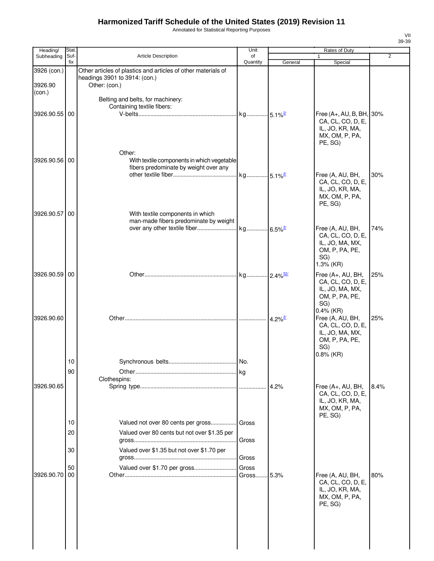Annotated for Statistical Reporting Purposes

| Heading/                | Stat.           |                                                                                                                 | Unit           |                       | Rates of Duty                                                                                            |                |
|-------------------------|-----------------|-----------------------------------------------------------------------------------------------------------------|----------------|-----------------------|----------------------------------------------------------------------------------------------------------|----------------|
| Subheading              | Suf-<br>fix     | <b>Article Description</b>                                                                                      | of<br>Quantity | General               | 1<br>Special                                                                                             | $\overline{2}$ |
| 3926 (con.)<br>3926.90  |                 | Other articles of plastics and articles of other materials of<br>headings 3901 to 3914: (con.)<br>Other: (con.) |                |                       |                                                                                                          |                |
| (con.)<br>3926.90.55 00 |                 | Belting and belts, for machinery:<br>Containing textile fibers:                                                 |                |                       | Free $(A+, AU, B, BH,$<br>CA, CL, CO, D, E,                                                              | 30%            |
| 3926.90.56 00           |                 | Other:<br>With textile components in which vegetable<br>fibers predominate by weight over any                   |                |                       | IL, JO, KR, MA,<br>MX, OM, P, PA,<br>PE, SG)<br>Free (A, AU, BH,<br>CA, CL, CO, D, E,<br>IL, JO, KR, MA, | 30%            |
| 3926.90.57 00           |                 | With textile components in which<br>man-made fibers predominate by weight                                       |                |                       | MX, OM, P, PA,<br>PE, SG)                                                                                |                |
|                         |                 |                                                                                                                 |                |                       | Free (A, AU, BH,<br>CA, CL, CO, D, E,<br>IL, JO, MA, MX,<br>OM, P, PA, PE,<br>SG)<br>1.3% (KR)           | 74%            |
| 3926.90.59 00           |                 |                                                                                                                 |                |                       | Free (A+, AU, BH,<br>CA, CL, CO, D, E,<br>IL, JO, MA, MX,<br>OM, P, PA, PE,<br>SG)<br>$0.4\%$ (KR)       | 25%            |
| 3926.90.60              |                 |                                                                                                                 |                | $4.2\%$ <sup>2/</sup> | Free (A, AU, BH,<br>CA, CL, CO, D, E,<br>IL, JO, MA, MX,<br>OM, P, PA, PE,<br>SG)<br>$0.8\%$ (KR)        | 25%            |
|                         | 10 <sup>°</sup> |                                                                                                                 | No.            |                       |                                                                                                          |                |
|                         | 90              |                                                                                                                 |                |                       |                                                                                                          |                |
| 3926.90.65              |                 | Clothespins:                                                                                                    |                |                       | Free (A+, AU, BH,<br>CA, CL, CO, D, E,<br>IL, JO, KR, MA,<br>MX, OM, P, PA,<br>PE, SG)                   | 8.4%           |
|                         | 10<br>20        | Valued not over 80 cents per gross Gross<br>Valued over 80 cents but not over \$1.35 per                        |                |                       |                                                                                                          |                |
|                         | 30              | Valued over \$1.35 but not over \$1.70 per                                                                      | Gross<br>Gross |                       |                                                                                                          |                |
| 3926.90.70              | 50<br>00        | Valued over \$1.70 per gross                                                                                    | Gross<br>Gross | 5.3%                  | Free (A, AU, BH,<br>CA, CL, CO, D, E,<br>IL, JO, KR, MA,<br>MX, OM, P, PA,<br>PE, SG)                    | 80%            |
|                         |                 |                                                                                                                 |                |                       |                                                                                                          |                |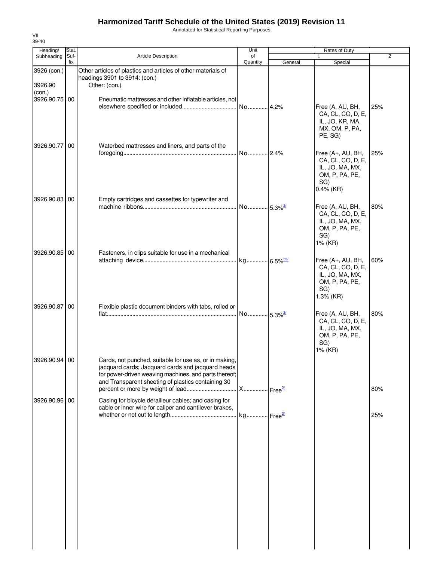Annotated for Statistical Reporting Purposes

| Heading/                | Stat.       |                                                                                                                                                                                                                            | Unit                  |         | Rates of Duty                                                                                      |     |
|-------------------------|-------------|----------------------------------------------------------------------------------------------------------------------------------------------------------------------------------------------------------------------------|-----------------------|---------|----------------------------------------------------------------------------------------------------|-----|
| Subheading              | Suf-<br>fix | <b>Article Description</b>                                                                                                                                                                                                 | of<br>Quantity        | General | 1<br>Special                                                                                       | 2   |
| 3926 (con.)<br>3926.90  |             | Other articles of plastics and articles of other materials of<br>headings 3901 to 3914: (con.)<br>Other: (con.)                                                                                                            |                       |         |                                                                                                    |     |
| (con.)<br>3926.90.75 00 |             | Pneumatic mattresses and other inflatable articles, not                                                                                                                                                                    |                       |         | Free (A, AU, BH,<br>CA, CL, CO, D, E,<br>IL, JO, KR, MA,<br>MX, OM, P, PA,<br>PE, SG)              | 25% |
| 3926.90.77 00           |             | Waterbed mattresses and liners, and parts of the                                                                                                                                                                           | No 2.4%               |         | Free (A+, AU, BH,<br>CA, CL, CO, D, E,<br>IL, JO, MA, MX,<br>OM, P, PA, PE,<br>SG)<br>$0.4\%$ (KR) | 25% |
| 3926.90.83 00           |             | Empty cartridges and cassettes for typewriter and                                                                                                                                                                          | No 5.3% <sup>2/</sup> |         | Free (A, AU, BH,<br>CA, CL, CO, D, E,<br>IL, JO, MA, MX,<br>OM, P, PA, PE,<br>SG)<br>1% (KR)       | 80% |
| 3926.90.85 00           |             | Fasteners, in clips suitable for use in a mechanical                                                                                                                                                                       |                       |         | Free (A+, AU, BH,<br>CA, CL, CO, D, E,<br>IL, JO, MA, MX,<br>OM, P, PA, PE,<br>SG)<br>1.3% (KR)    | 60% |
| 3926.90.87 00           |             | Flexible plastic document binders with tabs, rolled or                                                                                                                                                                     | No 5.3% <sup>2/</sup> |         | Free (A, AU, BH,<br>CA, CL, CO, D, E,<br>IL, JO, MA, MX,<br>OM, P, PA, PE,<br>SG)<br>1% (KR)       | 80% |
| 3926.90.94 00           |             | Cards, not punched, suitable for use as, or in making,<br>jacquard cards; Jacquard cards and jacquard heads<br>for power-driven weaving machines, and parts thereof;<br>and Transparent sheeting of plastics containing 30 |                       |         |                                                                                                    | 80% |
| 3926.90.96 00           |             | Casing for bicycle derailleur cables; and casing for<br>cable or inner wire for caliper and cantilever brakes,                                                                                                             |                       |         |                                                                                                    | 25% |
|                         |             |                                                                                                                                                                                                                            |                       |         |                                                                                                    |     |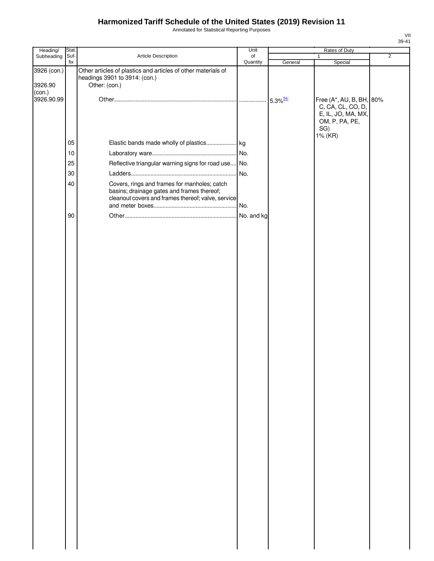Annotated for Statistical Reporting Purposes

| Heading/                         | Stat.       |                                                                                                                                                  | Unit           | Rates of Duty |                                                                                              |                |
|----------------------------------|-------------|--------------------------------------------------------------------------------------------------------------------------------------------------|----------------|---------------|----------------------------------------------------------------------------------------------|----------------|
| Subheading                       | Suf-<br>fix | Article Description                                                                                                                              | of<br>Quantity | General       | $\mathbf{1}$<br>Special                                                                      | $\overline{2}$ |
| 3926 (con.)<br>3926.90<br>(con.) |             | Other articles of plastics and articles of other materials of<br>headings 3901 to 3914: (con.)<br>Other: (con.)                                  |                |               |                                                                                              |                |
| 3926.90.99                       |             |                                                                                                                                                  |                |               | Free (A*, AU, B, BH, 80%<br>C, CA, CL, CO, D,<br>E, IL, JO, MA, MX,<br>OM, P, PA, PE,<br>SG) |                |
|                                  | 05          |                                                                                                                                                  |                |               | 1% (KR)                                                                                      |                |
|                                  | 10          |                                                                                                                                                  |                |               |                                                                                              |                |
|                                  | 25          | Reflective triangular warning signs for road use No.                                                                                             |                |               |                                                                                              |                |
|                                  | 30          |                                                                                                                                                  | No.            |               |                                                                                              |                |
|                                  | 40          | Covers, rings and frames for manholes; catch<br>basins; drainage gates and frames thereof;<br>cleanout covers and frames thereof; valve, service |                |               |                                                                                              |                |
|                                  | 90          |                                                                                                                                                  |                |               |                                                                                              |                |
|                                  |             |                                                                                                                                                  |                |               |                                                                                              |                |
|                                  |             |                                                                                                                                                  |                |               |                                                                                              |                |
|                                  |             |                                                                                                                                                  |                |               |                                                                                              |                |
|                                  |             |                                                                                                                                                  |                |               |                                                                                              |                |
|                                  |             |                                                                                                                                                  |                |               |                                                                                              |                |
|                                  |             |                                                                                                                                                  |                |               |                                                                                              |                |
|                                  |             |                                                                                                                                                  |                |               |                                                                                              |                |
|                                  |             |                                                                                                                                                  |                |               |                                                                                              |                |
|                                  |             |                                                                                                                                                  |                |               |                                                                                              |                |
|                                  |             |                                                                                                                                                  |                |               |                                                                                              |                |
|                                  |             |                                                                                                                                                  |                |               |                                                                                              |                |